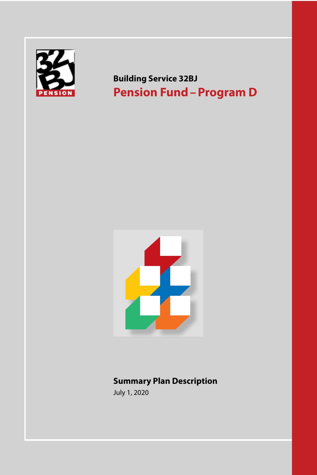

**Building Service 32BJ Pension Fund–Program D**



# **Summary Plan Description**

July 1, 2020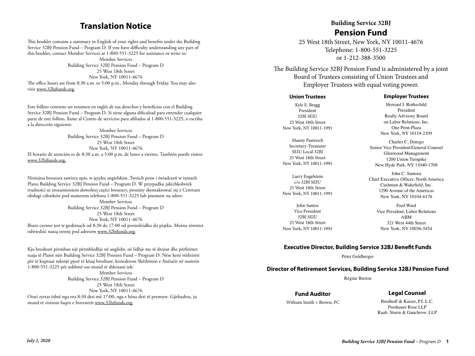# **Translation Notice**

This booklet contains a summary in English of your rights and benefits under the Building Service 32BJ Pension Fund – Program D. If you have difficulty understanding any part of this booklet, contact Member Services at 1-800-551-3225 for assistance or write to:

Member Services Building Service 32BJ Pension Fund – Program D 25 West 18th Street New York, NY 10011-4676 The office hours are from 8:30 a.m. to 5:00 p.m., Monday through Friday. You may also visit www.32bjfunds.org.

Este folleto contiene un resumen en inglés de sus derechos y beneficios con el Building Service 32BJ Pension Fund – Program D. Si tiene alguna dificultad para entender cualquier parte de este folleto, llame al Centro de servicios para afiliados al 1-800-551-3225, o escriba a la dirección siguiente:

Member Services Building Service 32BJ Pension Fund – Program D 25 West 18th Street New York, NY 10011-4676 El horario de atención es de 8:30 a.m. a 5:00 p.m. de lunes a viernes. También puede visitor www.32bjfunds.org.

Niniejsza broszura zawiera opis, w języku angielskim, Twoich praw i świadczeń w ramach Planu Building Service 32BJ Pension Fund – Program D. W przypadku jakichkolwiek trudności ze zrozumieniem dowolnej części broszury, prosimy skontaktować się z Centrum obsługi członków pod numerem telefonu 1-800-551-3225 lub pisemnie na adres: Member Services Building Service 32BJ Pension Fund – Program D 25 West 18th Street New York, NY 10011-4676 Biuro czynne jest w godzinach od 8:30 do 17:00 od poniedziałku do piątku. Można również odwiedzić naszą stronę pod adresem www.32bjfunds.org.

Kjo broshurë përmban një përmbledhje në anglisht, në lidhje me të drejtat dhe përfitimet tuaja të Planit nën Building Service 32BJ Pension Fund – Program D. Nëse keni vështirësi për të kuptuar ndonjë pjesë të kësaj broshure, kontaktoni Shërbimin e Anëtarit në numrin 1-800-551-3225 për ndihmë ose mund të shkruani tek: Member Services Building Service 32BJ Pension Fund – Program D 25 West 18th Street New York, NY 10011-4676 Orari zyrtar është nga ora 8:30 deri më 17:00, nga e hëna deri të premten. Gjithashtu, ju mund të vizitoni faqen e Internetit www.32bjfunds.org.

# **Building Service 32BJ Pension Fund**

25 West 18th Street, New York, NY 10011-4676 Telephone: 1-800-551-3225 or 1-212-388-3500

The Building Service 32BJ Pension Fund is administered by a joint **Member Services** Board of Trustees consisting of Union Trustees and Employer Trustees with equal voting power.  $N = \frac{1}{2}$ 

#### **Union Trustees**

Kyle E. Bragg President 32BJ SEIU 25 West 18th Street New York, NY 10011-1991

Manny Pastreich Secretary-Treasurer SEIU Local 32BI 25 West 18th Street New York, NY 10011-1991

Larry Engelstein c/o 32BJ SEIU 25 West 18th Street New York, NY 10011-1991

John Santos Vice President 32BJ SEIU 25 West 18th Street New York, NY 10011-1991

#### **Employer Trustees**

Howard I. Rothschild President Realty Advisory Board on Labor Relations, Inc. One Penn Plaza New York, NY 10119-2109

Charles C. Dorego Senior Vice President/General Counsel Glenwood Management 1200 Union Turnpike New Hyde Park, NY 11040-1708

John C. Santora Chief Executive Officer, North America Cushman & Wakefield, Inc. 1290 Avenue of the Americas New York, NY 10104-6178

> Fred Ward Vice President, Labor Relations ABM 321 West 44th Street New York, NY 10036-5454

#### **Executive Director, Building Service 32BJ Benefit Funds**

Peter Goldberger

#### **Director of Retirement Services, Building Service 32BJ Pension Fund**

Régine Breton

**Fund Auditor**

#### **Legal Counsel**

Withum Smith + Brown, PC

Bredhoff & Kaiser, P.L.L.C. Proskauer Rose LLP Raab, Sturm & Ganchrow, LLP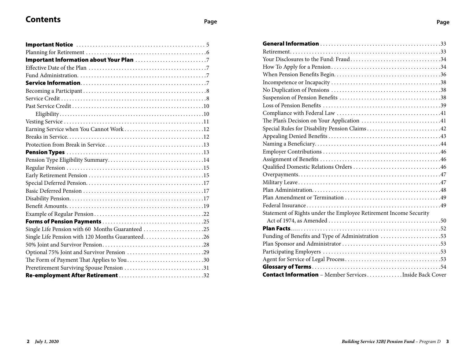# **Contents Page**

| Earning Service when You Cannot Work12           |
|--------------------------------------------------|
|                                                  |
|                                                  |
|                                                  |
|                                                  |
|                                                  |
|                                                  |
|                                                  |
|                                                  |
|                                                  |
|                                                  |
|                                                  |
|                                                  |
| Single Life Pension with 60 Months Guaranteed 25 |
| Single Life Pension with 120 Months Guaranteed26 |
|                                                  |
| Optional 75% Joint and Survivor Pension 29       |
| The Form of Payment That Applies to You30        |
| Preretirement Surviving Spouse Pension 31        |
| Re-employment After Retirement 32                |

| Your Disclosures to the Fund: Fraud34                             |  |
|-------------------------------------------------------------------|--|
|                                                                   |  |
|                                                                   |  |
|                                                                   |  |
|                                                                   |  |
|                                                                   |  |
|                                                                   |  |
|                                                                   |  |
| The Plan's Decision on Your Application 41                        |  |
| Special Rules for Disability Pension Claims42                     |  |
|                                                                   |  |
|                                                                   |  |
|                                                                   |  |
|                                                                   |  |
|                                                                   |  |
|                                                                   |  |
|                                                                   |  |
|                                                                   |  |
|                                                                   |  |
|                                                                   |  |
| Statement of Rights under the Employee Retirement Income Security |  |
|                                                                   |  |
|                                                                   |  |
| Funding of Benefits and Type of Administration 53                 |  |
|                                                                   |  |
|                                                                   |  |
|                                                                   |  |
|                                                                   |  |
| <b>Contact Information</b> - Member ServicesInside Back Cover     |  |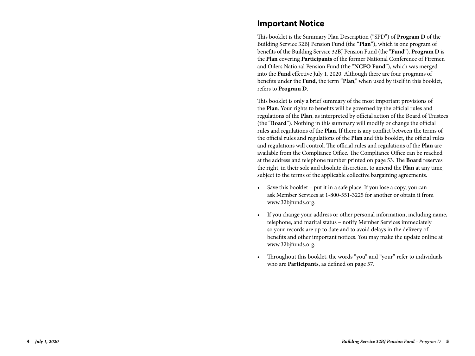# **Important Notice**

This booklet is the Summary Plan Description ("SPD") of **Program D** of the Building Service 32BJ Pension Fund (the "**Plan**"), which is one program of benefits of the Building Service 32BJ Pension Fund (the "**Fund**"). **Program D** is the **Plan** covering **Participants** of the former National Conference of Firemen and Oilers National Pension Fund (the "**NCFO Fund**"), which was merged into the **Fund** effective July 1, 2020. Although there are four programs of benefits under the **Fund**, the term "**Plan**," when used by itself in this booklet, refers to **Program D** .

This booklet is only a brief summary of the most important provisions of the **Plan**. Your rights to benefits will be governed by the official rules and regulations of the **Plan**, as interpreted by official action of the Board of Trustees (the "**Board**"). Nothing in this summary will modify or change the official rules and regulations of the **Plan**. If there is any conflict between the terms of the official rules and regulations of the **Plan** and this booklet, the official rules and regulations will control. The official rules and regulations of the **Plan** are available from the Compliance Office. The Compliance Office can be reached at the address and telephone number printed on page 53. The **Board** reserves the right, in their sole and absolute discretion, to amend the **Plan** at any time, subject to the terms of the applicable collective bargaining agreements.

- Save this booklet put it in a safe place. If you lose a copy, you can ask Member Services at 1-800-551-3225 for another or obtain it from www.32bjfunds.org .
- If you change your address or other personal information, including name, telephone, and marital status – notify Member Services immediately so your records are up to date and to avoid delays in the delivery of benefits and other important notices. You may make the update online at www.32bjfunds.org .
- Throughout this booklet, the words "you" and "your" refer to individuals who are **Participants**, as defined on page 57.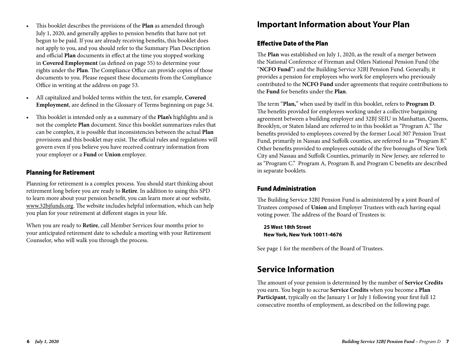- This booklet describes the provisions of the **Plan** as amended through July 1, 2020, and generally applies to pension benefits that have not yet begun to be paid. If you are already receiving benefits, this booklet does not apply to you, and you should refer to the Summary Plan Description and official **Plan** documents in effect at the time you stopped working in **Covered Employment** (as defined on page 55) to determine your rights under the **Plan**. The Compliance Office can provide copies of those documents to you. Please request these documents from the Compliance Office in writing at the address on page 53.
- All capitalized and bolded terms within the text, for example, **Covered Employment**, are defined in the Glossary of Terms beginning on page 54.
- This booklet is intended only as a summary of the **Plan's** highlights and is not the complete **Plan** document. Since this booklet summarizes rules that can be complex, it is possible that inconsistencies between the actual **Plan** provisions and this booklet may exist. The official rules and regulations will govern even if you believe you have received contrary information from your employer or a **Fund** or **Union** employee.

#### Planning for Retirement

Planning for retirement is a complex process. You should start thinking about retirement long before you are ready to **Retire**. In addition to using this SPD to learn more about your pension benefit, you can learn more at our website, www.32bjfunds.org. The website includes helpful information, which can help you plan for your retirement at different stages in your life.

When you are ready to **Retire**, call Member Services four months prior to your anticipated retirement date to schedule a meeting with your Retirement Counselor, who will walk you through the process.

# **Important Information about Your Plan**

### Effective Date of the Plan

The **Plan** was established on July 1, 2020, as the result of a merger between the National Conference of Fireman and Oilers National Pension Fund (the "**NCFO Fund**") and the Building Service 32BJ Pension Fund. Generally, it provides a pension for employees who work for employers who previously contributed to the **NCFO Fund** under agreements that require contributions to the **Fund** for benefits under the **Plan**.

The term "**Plan,**" when used by itself in this booklet, refers to **Program D**. The benefits provided for employees working under a collective bargaining agreement between a building employer and 32BJ SEIU in Manhattan, Queens, Brooklyn, or Staten Island are referred to in this booklet as "Program A." The benefits provided to employees covered by the former Local 307 Pension Trust Fund, primarily in Nassau and Suffolk counties, are referred to as "Program B." Other benefits provided to employees outside of the five boroughs of New York City and Nassau and Suffolk Counties, primarily in New Jersey, are referred to as "Program C." Program A, Program B, and Program C benefits are described in separate booklets.

## Fund Administration

The Building Service 32BJ Pension Fund is administered by a joint Board of Trustees composed of **Union** and Employer Trustees with each having equal voting power. The address of the Board of Trustees is:

**25 West 18th Street New York, New York 10011-4676**

See page 1 for the members of the Board of Trustees.

# **Service Information**

The amount of your pension is determined by the number of **Service Credits** you earn. You begin to accrue **Service Credits** when you become a **Plan Participant**, typically on the January 1 or July 1 following your first full 12 consecutive months of employment, as described on the following page.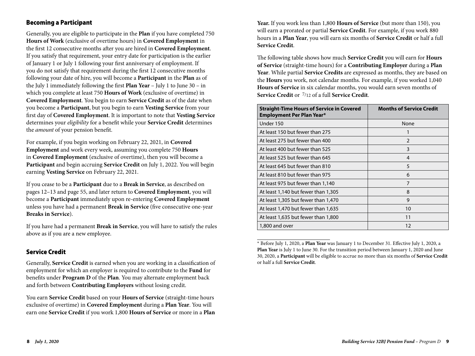### Becoming a Participant

Generally, you are eligible to participate in the **Plan** if you have completed 750 **Hours of Work** (exclusive of overtime hours) in **Covered Employment** in the first 12 consecutive months after you are hired in **Covered Employment**. If you satisfy that requirement, your entry date for participation is the earlier of January 1 or July 1 following your first anniversary of employment. If you do not satisfy that requirement during the first 12 consecutive months following your date of hire, you will become a **Participant** in the **Plan** as of the July 1 immediately following the first **Plan Year** – July 1 to June 30 – in which you complete at least 750 **Hours of Work** (exclusive of overtime) in **Covered Employment**. You begin to earn **Service Credit** as of the date when you become a **Participant**, but you begin to earn **Vesting Service** from your first day of **Covered Employment**. It is important to note that **Vesting Service** determines your *eligibility* for a benefit while your **Service Credit** determines the *amount* of your pension benefit.

For example, if you begin working on February 22, 2021, in **Covered Employment** and work every week, assuming you complete 750 **Hours** in **Covered Employment** (exclusive of overtime), then you will become a **Participant** and begin accruing **Service Credit** on July 1, 2022. You will begin earning **Vesting Service** on February 22, 2021.

If you cease to be a **Participant** due to a **Break in Service**, as described on pages 12–13 and page 55, and later return to **Covered Employment**, you will become a **Participant** immediately upon re-entering **Covered Employment** unless you have had a permanent **Break in Service** (five consecutive one-year **Breaks in Service**).

If you have had a permanent **Break in Service**, you will have to satisfy the rules above as if you are a new employee.

## Service Credit

Generally, **Service Credit** is earned when you are working in a classification of employment for which an employer is required to contribute to the **Fund** for benefits under **Program D** of the **Plan**. You may alternate employment back and forth between **Contributing Employers** without losing credit.

You earn **Service Credit** based on your **Hours of Service** (straight-time hours exclusive of overtime) in **Covered Employment** during a **Plan Year**. You will earn one **Service Credit** if you work 1,800 **Hours of Service** or more in a **Plan**  **Year.** If you work less than 1,800 **Hours of Service** (but more than 150), you will earn a prorated or partial **Service Credit**. For example, if you work 880 hours in a **Plan Year**, you will earn six months of **Service Credit** or half a full **Service Credit**.

The following table shows how much **Service Credit** you will earn for **Hours of Service** (straight-time hours) for a **Contributing Employer** during a **Plan Year**. While partial **Service Credits** are expressed as months, they are based on the **Hours** you work, not calendar months. For example, if you worked 1,040 **Hours of Service** in six calendar months, you would earn seven months of **Service Credit** or 7/12 of a full **Service Credit**.

| <b>Straight-Time Hours of Service in Covered</b><br><b>Employment Per Plan Year*</b> | <b>Months of Service Credit</b> |
|--------------------------------------------------------------------------------------|---------------------------------|
| Under 150                                                                            | None                            |
| At least 150 but fewer than 275                                                      |                                 |
| At least 275 but fewer than 400                                                      | $\overline{2}$                  |
| At least 400 but fewer than 525                                                      | 3                               |
| At least 525 but fewer than 645                                                      | 4                               |
| At least 645 but fewer than 810                                                      | 5                               |
| At least 810 but fewer than 975                                                      | 6                               |
| At least 975 but fewer than 1,140                                                    | $\overline{7}$                  |
| At least 1,140 but fewer than 1,305                                                  | 8                               |
| At least 1,305 but fewer than 1,470                                                  | 9                               |
| At least 1,470 but fewer than 1,635                                                  | 10                              |
| At least 1,635 but fewer than 1,800                                                  | 11                              |
| 1,800 and over                                                                       | 12                              |

<sup>\*</sup> Before July 1, 2020, a **Plan Year** was January 1 to December 31. Effective July 1, 2020, a **Plan Year** is July 1 to June 30. For the transition period between January 1, 2020 and June 30, 2020, a **Participant** will be eligible to accrue no more than six months of **Service Credit**  or half a full **Service Credit**.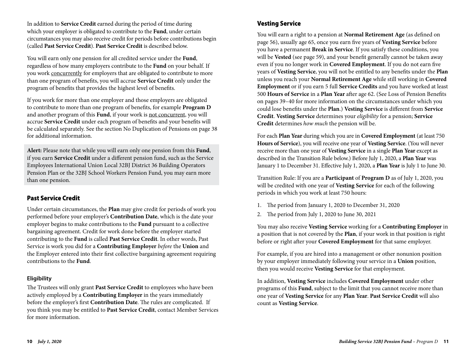In addition to **Service Credit** earned during the period of time during which your employer is obligated to contribute to the **Fund**, under certain circumstances you may also receive credit for periods before contributions begin (called **Past Service Credit**). **Past Service Credit** is described below.

You will earn only one pension for all credited service under the **Fund**, regardless of how many employers contribute to the **Fund** on your behalf. If you work concurrently for employers that are obligated to contribute to more than one program of benefits, you will accrue **Service Credit** only under the program of benefits that provides the highest level of benefits.

If you work for more than one employer and those employers are obligated to contribute to more than one program of benefits, for example **Program D** and another program of this **Fund**, if your work is not concurrent, you will accrue **Service Credit** under each program of benefits and your benefits will be calculated separately. See the section No Duplication of Pensions on page 38 for additional information.

**Alert:** Please note that while you will earn only one pension from this **Fund**, if you earn **Service Credit** under a different pension fund, such as the Service Employees International Union Local 32BJ District 36 Building Operators Pension Plan or the 32BJ School Workers Pension Fund, you may earn more than one pension.

#### Past Service Credit

Under certain circumstances, the **Plan** may give credit for periods of work you performed before your employer's **Contribution Date**, which is the date your employer begins to make contributions to the **Fund** pursuant to a collective bargaining agreement. Credit for work done before the employer started contributing to the **Fund** is called **Past Service Credit**. In other words, Past Service is work you did for a **Contributing Employer** *before* the **Union** and the Employer entered into their first collective bargaining agreement requiring contributions to the **Fund**.

#### **Eligibility**

The Trustees will only grant **Past Service Credit** to employees who have been actively employed by a **Contributing Employer** in the years immediately before the employer's first **Contribution Date**. The rules are complicated. If you think you may be entitled to **Past Service Credit**, contact Member Services for more information.

# Vesting Service

You will earn a right to a pension at **Normal Retirement Age** (as defined on page 56), usually age 65, once you earn five years of **Vesting Service** before you have a permanent **Break in Service**. If you satisfy these conditions, you will be **Vested** (see page 59), and your benefit generally cannot be taken away even if you no longer work in **Covered Employment**. If you do not earn five years of **Vesting Service**, you will not be entitled to any benefits under the **Plan** unless you reach your **Normal Retirement Age** while still working in **Covered Employment** or if you earn 5 full **Service Credits** and you have worked at least 500 **Hours of Service** in a **Plan Year** after age 62. (See Loss of Pension Benefits on pages 39–40 for more information on the circumstances under which you could lose benefits under the **Plan**.) **Vesting Service** is different from **Service Credit**. **Vesting Service** determines your *eligibility* for a pension; **Service Credit** determines *how much* the pension will be.

For each **Plan Year** during which you are in **Covered Employment** (at least 750 **Hours of Service**), you will receive one year of **Vesting Service**. (You will never receive more than one year of **Vesting Service** in a single **Plan Year** except as described in the Transition Rule below.) Before July 1, 2020, a **Plan Year** was January 1 to December 31. Effective July 1, 2020, a **Plan Year** is July 1 to June 30.

Transition Rule: If you are a **Participant** of **Program D** as of July 1, 2020, you will be credited with one year of **Vesting Service** for each of the following periods in which you work at least 750 hours:

- 1. The period from January 1, 2020 to December 31, 2020
- 2. The period from July 1, 2020 to June 30, 2021

You may also receive **Vesting Service** working for a **Contributing Employer** in a position that is not covered by the **Plan**, if your work in that position is right before or right after your **Covered Employment** for that same employer.

For example, if you are hired into a management or other nonunion position by your employer immediately following your service in a **Union** position, then you would receive **Vesting Service** for that employment.

In addition, **Vesting Service** includes **Covered Employment** under other programs of this **Fund**, subject to the limit that you cannot receive more than one year of **Vesting Service** for any **Plan Year**. **Past Service Credit** will also count as **Vesting Service**.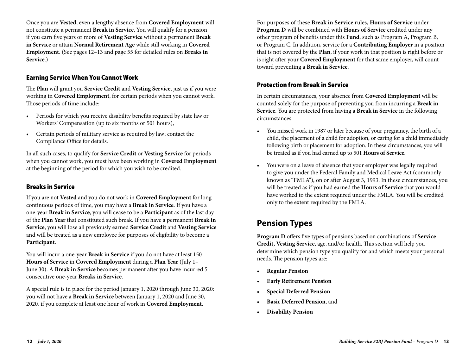Once you are **Vested**, even a lengthy absence from **Covered Employment** will not constitute a permanent **Break in Service**. You will qualify for a pension if you earn five years or more of **Vesting Service** without a permanent **Break in Service** or attain **Normal Retirement Age** while still working in **Covered Employment**. (See pages 12–13 and page 55 for detailed rules on **Breaks in Service**.)

#### Earning Service When You Cannot Work

The **Plan** will grant you **Service Credit** and **Vesting Service**, just as if you were working in **Covered Employment**, for certain periods when you cannot work. Those periods of time include:

- Periods for which you receive disability benefits required by state law or Workers' Compensation (up to six months or 501 hours),
- Certain periods of military service as required by law; contact the Compliance Office for details.

In all such cases, to qualify for **Service Credit** or **Vesting Service** for periods when you cannot work, you must have been working in **Covered Employment** at the beginning of the period for which you wish to be credited.

#### Breaks in Service

If you are not **Vested** and you do not work in **Covered Employment** for long continuous periods of time, you may have a **Break in Service**. If you have a one-year **Break in Service**, you will cease to be a **Participant** as of the last day of the **Plan Year** that constituted such break. If you have a permanent **Break in Service**, you will lose all previously earned **Service Credit** and **Vesting Service** and will be treated as a new employee for purposes of eligibility to become a **Participant**.

You will incur a one-year **Break in Service** if you do not have at least 150 **Hours of Service** in **Covered Employment** during a **Plan Year** (July 1– June 30). A **Break in Service** becomes permanent after you have incurred 5 consecutive one-year **Breaks in Service**.

A special rule is in place for the period January 1, 2020 through June 30, 2020: you will not have a **Break in Service** between January 1, 2020 and June 30, 2020, if you complete at least one hour of work in **Covered Employment**.

For purposes of these **Break in Service** rules, **Hours of Service** under **Program D** will be combined with **Hours of Service** credited under any other program of benefits under this **Fund**, such as Program A, Program B, or Program C. In addition, service for a **Contributing Employer** in a position that is not covered by the **Plan**, if your work in that position is right before or is right after your **Covered Employment** for that same employer, will count toward preventing a **Break in Service**.

### Protection from Break in Service

In certain circumstances, your absence from **Covered Employment** will be counted solely for the purpose of preventing you from incurring a **Break in Service**. You are protected from having a **Break in Service** in the following circumstances:

- You missed work in 1987 or later because of your pregnancy, the birth of a child, the placement of a child for adoption, or caring for a child immediately following birth or placement for adoption. In these circumstances, you will be treated as if you had earned up to 501 **Hours of Service**.
- You were on a leave of absence that your employer was legally required to give you under the Federal Family and Medical Leave Act (commonly known as "FMLA"), on or after August 3, 1993. In these circumstances, you will be treated as if you had earned the **Hours of Service** that you would have worked to the extent required under the FMLA. You will be credited only to the extent required by the FMLA.

# **Pension Types**

**Program D** offers five types of pensions based on combinations of **Service Credit, Vesting Service**, age, and/or health. This section will help you determine which pension type you qualify for and which meets your personal needs. The pension types are:

- **• Regular Pension**
- **• Early Retirement Pension**
- **• Special Deferred Pension**
- **• Basic Deferred Pension**, and
- **• Disability Pension**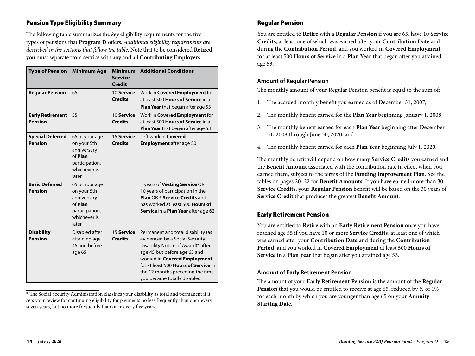# Pension Type Eligibility Summary

The following table summarizes the *key* eligibility requirements for the five types of pensions that **Program D** offers. *Additional eligibility requirements are described in the sections that follow the table*. Note that to be considered **Retired**, you must separate from service with any and all **Contributing Employers**.

| <b>Type of Pension</b>                    | <b>Minimum Age</b>                                                                                 | <b>Minimum</b><br><b>Service</b><br>Credit | <b>Additional Conditions</b>                                                                                                                                                                                                                                                          |
|-------------------------------------------|----------------------------------------------------------------------------------------------------|--------------------------------------------|---------------------------------------------------------------------------------------------------------------------------------------------------------------------------------------------------------------------------------------------------------------------------------------|
| <b>Regular Pension</b>                    | 65                                                                                                 | 10 Service<br><b>Credits</b>               | Work in Covered Employment for<br>at least 500 <b>Hours of Service</b> in a<br>Plan Year that began after age 53                                                                                                                                                                      |
| <b>Early Retirement</b><br><b>Pension</b> | 55                                                                                                 | 10 Service<br><b>Credits</b>               | Work in <b>Covered Employment</b> for<br>at least 500 Hours of Service in a<br>Plan Year that began after age 53                                                                                                                                                                      |
| <b>Special Deferred</b><br><b>Pension</b> | 65 or your age<br>on your 5th<br>anniversary<br>of Plan<br>participation,<br>whichever is<br>later | 15 Service<br><b>Credits</b>               | Left work in <b>Covered</b><br><b>Employment after age 50</b>                                                                                                                                                                                                                         |
| <b>Basic Deferred</b><br><b>Pension</b>   | 65 or your age<br>on your 5th<br>anniversary<br>of Plan<br>participation,<br>whichever is<br>later |                                            | 5 years of Vesting Service OR<br>10 years of participation in the<br>Plan OR 5 Service Credits and<br>has worked at least 500 <b>Hours of</b><br>Service in a Plan Year after age 62                                                                                                  |
| <b>Disability</b><br><b>Pension</b>       | Disabled after<br>attaining age<br>45 and before<br>age 65                                         | 15 Service<br><b>Credits</b>               | Permanent and total disability (as<br>evidenced by a Social Security<br>Disability Notice of Award)* after<br>age 45 but before age 65 and<br>worked in Covered Employment<br>for at least 500 Hours of Service in<br>the 12 months preceding the time<br>you became totally disabled |

<sup>\*</sup> The Social Security Administration classifies your disability as total and permanent if it sets your review for continuing eligibility for payments no less frequently than once every seven years, but no more frequently than once every five years.

#### Regular Pension

You are entitled to **Retire** with a **Regular Pension** if you are 65, have 10 **Service Credits**, at least one of which was earned after your **Contribution Date** and during the **Contribution Period**, and you worked in **Covered Employment** for at least 500 **Hours of Service** in a **Plan Year** that began after you attained age 53.

#### **Amount of Regular Pension**

The monthly amount of your Regular Pension benefit is equal to the sum of:

- 1. The accrued monthly benefit you earned as of December 31, 2007,
- 2. The monthly benefit earned for the **Plan Year** beginning January 1, 2008,
- 3. The monthly benefit earned for each **Plan Year** beginning after December 31, 2008 through June 30, 2020, and
- 4. The monthly benefit earned for each **Plan Year** beginning July 1, 2020.

The monthly benefit will depend on how many **Service Credits** you earned and the **Benefit Amount** associated with the contribution rate in effect when you earned them, subject to the terms of the **Funding Improvement Plan**. See the tables on pages 20–22 for **Benefit Amounts**. If you have earned more than 30 **Service Credits**, your **Regular Pension** benefit will be based on the 30 years of **Service Credit** that produces the greatest **Benefit Amount**.

#### Early Retirement Pension

You are entitled to **Retire** with an **Early Retirement Pension** once you have reached age 55 if you have 10 or more **Service Credits**, at least one of which was earned after your **Contribution Date** and during the **Contribution Period**, and you worked in **Covered Employment** at least 500 **Hours of Service** in a **Plan Year** that began after you attained age 53.

#### **Amount of Early Retirement Pension**

The amount of your **Early Retirement Pension** is the amount of the **Regular Pension** that you would be entitled to receive at age 65, reduced by  $\frac{1}{2}$  of 1% for each month by which you are younger than age 65 on your **Annuity Starting Date**.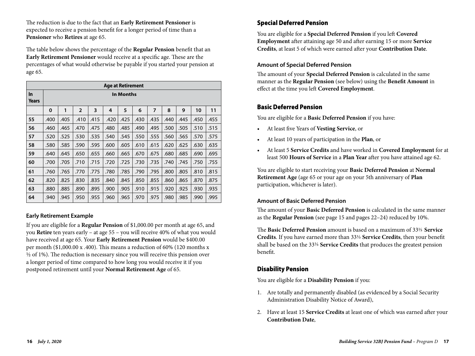The reduction is due to the fact that an **Early Retirement Pensioner** is expected to receive a pension benefit for a longer period of time than a **Pensioner** who **Retires** at age 65.

The table below shows the percentage of the **Regular Pension** benefit that an **Early Retirement Pensioner** would receive at a specific age. These are the percentages of what would otherwise be payable if you started your pension at age 65.

|                       | <b>Age at Retirement</b> |      |                |      |      |      |      |      |      |      |      |      |
|-----------------------|--------------------------|------|----------------|------|------|------|------|------|------|------|------|------|
| $\ln$<br><b>Years</b> | <b>In Months</b>         |      |                |      |      |      |      |      |      |      |      |      |
|                       | $\mathbf 0$              | 1    | $\overline{2}$ | 3    | 4    | 5    | 6    | 7    | 8    | 9    | 10   | 11   |
| 55                    | .400                     | .405 | .410           | .415 | .420 | .425 | .430 | .435 | .440 | .445 | .450 | .455 |
| 56                    | .460                     | .465 | .470           | .475 | .480 | .485 | .490 | .495 | .500 | .505 | .510 | .515 |
| 57                    | .520                     | .525 | .530           | .535 | .540 | .545 | .550 | .555 | .560 | .565 | .570 | .575 |
| 58                    | .580                     | .585 | .590           | .595 | .600 | .605 | .610 | .615 | .620 | .625 | .630 | .635 |
| 59                    | .640                     | .645 | .650           | .655 | .660 | .665 | .670 | .675 | .680 | .685 | .690 | .695 |
| 60                    | .700                     | .705 | .710           | .715 | .720 | .725 | .730 | .735 | .740 | .745 | .750 | .755 |
| 61                    | .760                     | .765 | .770           | .775 | .780 | .785 | .790 | .795 | .800 | .805 | .810 | .815 |
| 62                    | .820                     | .825 | .830           | .835 | .840 | .845 | .850 | .855 | .860 | .865 | .870 | .875 |
| 63                    | .880                     | .885 | .890           | .895 | .900 | .905 | .910 | .915 | .920 | .925 | .930 | .935 |
| 64                    | .940                     | .945 | .950           | .955 | .960 | .965 | .970 | .975 | .980 | .985 | .990 | .995 |

#### **Early Retirement Example**

If you are eligible for a **Regular Pension** of \$1,000.00 per month at age 65, and you **Retire** ten years early – at age 55 – you will receive 40% of what you would have received at age 65. Your **Early Retirement Pension** would be \$400.00 per month (\$1,000.00 x .400). This means a reduction of 60% (120 months x  $\frac{1}{2}$  of 1%). The reduction is necessary since you will receive this pension over a longer period of time compared to how long you would receive it if you postponed retirement until your **Normal Retirement Age** of 65.

## Special Deferred Pension

You are eligible for a **Special Deferred Pension** if you left **Covered Employment** after attaining age 50 and after earning 15 or more **Service Credits**, at least 5 of which were earned after your **Contribution Date**.

#### **Amount of Special Deferred Pension**

The amount of your **Special Deferred Pension** is calculated in the same manner as the **Regular Pension** (see below) using the **Benefit Amount** in effect at the time you left **Covered Employment**.

#### Basic Deferred Pension

You are eligible for a **Basic Deferred Pension** if you have:

- At least five Years of **Vesting Service**, or
- At least 10 years of participation in the **Plan**, or
- At least 5 **Service Credits** and have worked in **Covered Employment** for at least 500 **Hours of Service** in a **Plan Year** after you have attained age 62.

You are eligible to start receiving your **Basic Deferred Pension** at **Normal Retirement Age** (age 65 or your age on your 5th anniversary of **Plan** participation, whichever is later).

#### **Amount of Basic Deferred Pension**

The amount of your **Basic Deferred Pension** is calculated in the same manner as the **Regular Pension** (see page 15 and pages 22–24) reduced by 10%.

The **Basic Deferred Pension** amount is based on a maximum of 331/3 **Service Credits**. If you have earned more than 331/3 **Service Credits**, then your benefit shall be based on the 331/3 **Service Credits** that produces the greatest pension benefit.

#### Disability Pension

You are eligible for a **Disability Pension** if you:

- 1. Are totally and permanently disabled (as evidenced by a Social Security Administration Disability Notice of Award),
- 2. Have at least 15 **Service Credits** at least one of which was earned after your **Contribution Date**,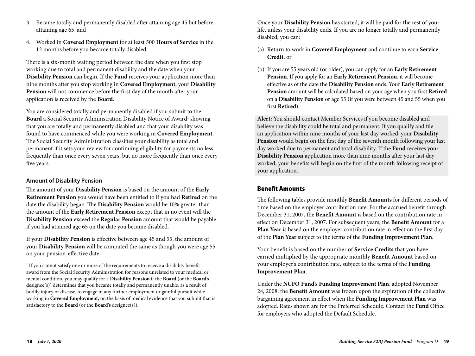- 3. Became totally and permanently disabled after attaining age 45 but before attaining age 65, and
- 4. Worked in **Covered Employment** for at least 500 **Hours of Service** in the 12 months before you became totally disabled.

There is a six-month waiting period between the date when you first stop working due to total and permanent disability and the date when your **Disability Pension** can begin. If the **Fund** receives your application more than nine months after you stop working in **Covered Employment**, your **Disability Pension** will not commence before the first day of the month after your application is received by the **Board**.

You are considered totally and permanently disabled if you submit to the **Board** a Social Security Administration Disability Notice of Award<sup>1</sup> showing that you are totally and permanently disabled and that your disability was found to have commenced while you were working in **Covered Employment**. The Social Security Administration classifies your disability as total and permanent if it sets your review for continuing eligibility for payments no less frequently than once every seven years, but no more frequently than once every five years.

#### **Amount of Disability Pension**

The amount of your **Disability Pension** is based on the amount of the **Early Retirement Pension** you would have been entitled to if you had **Retired** on the date the disability began. The **Disability Pension** would be 10% greater than the amount of the **Early Retirement Pension** except that in no event will the **Disability Pension** exceed the **Regular Pension** amount that would be payable if you had attained age 65 on the date you became disabled.

If your **Disability Pension** is effective between age 45 and 55, the amount of your **Disability Pension** will be computed the same as though you were age 55 on your pension-effective date.

Once your **Disability Pension** has started, it will be paid for the rest of your life, unless your disability ends. If you are no longer totally and permanently disabled, you can:

- (a) Return to work in **Covered Employment** and continue to earn **Service Credit**, or
- (b) If you are 55 years old (or older), you can apply for an **Early Retirement Pension**. If you apply for an **Early Retirement Pension**, it will become effective as of the date the **Disability Pension** ends. Your **Early Retirement Pension** amount will be calculated based on your age when you first **Retired** on a **Disability Pension** or age 55 (if you were between 45 and 55 when you first **Retired**).

**Alert:** You should contact Member Services if you become disabled and believe the disability could be total and permanent. If you qualify and file an application within nine months of your last day worked, your **Disability Pension** would begin on the first day of the seventh month following your last day worked due to permanent and total disability. If the **Fund** receives your **Disability Pension** application more than nine months after your last day worked, your benefits will begin on the first of the month following receipt of your application.

#### Benefit Amounts

The following tables provide monthly **Benefit Amounts** for different periods of time based on the employer contribution rate. For the accrued benefit through December 31, 2007, the **Benefit Amount** is based on the contribution rate in effect on December 31, 2007. For subsequent years, the **Benefit Amount** for a **Plan Year** is based on the employer contribution rate in effect on the first day of the **Plan Year** subject to the terms of the **Funding Improvement Plan**.

Your benefit is based on the number of **Service Credits** that you have earned multiplied by the appropriate monthly **Benefit Amount** based on your employer's contribution rate, subject to the terms of the **Funding Improvement Plan**.

Under the **NCFO Fund's Funding Improvement Plan**, adopted November 24, 2008, the **Benefit Amount** was frozen upon the expiration of the collective bargaining agreement in effect when the **Funding Improvement Plan** was adopted. Rates shown are for the Preferred Schedule. Contact the **Fund** Office for employers who adopted the Default Schedule.

<sup>&</sup>lt;sup>1</sup> If you cannot satisfy one or more of the requirements to receive a disability benefit award from the Social Security Administration for reasons unrelated to your medical or mental condition, you may qualify for a **Disability Pension** if the **Board** (or the **Board's**  designee(s)) determines that you became totally and permanently unable, as a result of bodily injury or disease, to engage in any further employment or gainful pursuit while working in **Covered Employment**, on the basis of medical evidence that you submit that is satisfactory to the **Board** (or the **Board's** designee(s)).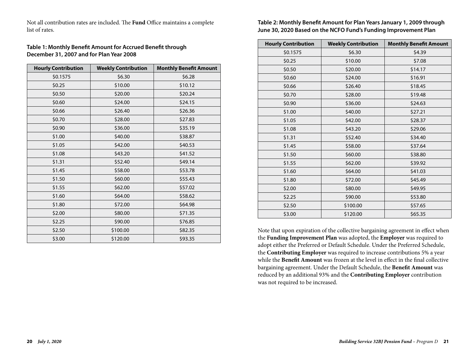Not all contribution rates are included. The **Fund** Office maintains a complete list of rates.

#### **Table 1: Monthly Benefit Amount for Accrued Benefit through December 31, 2007 and for Plan Year 2008**

| <b>Hourly Contribution</b> | <b>Weekly Contribution</b> | <b>Monthly Benefit Amount</b> |
|----------------------------|----------------------------|-------------------------------|
| \$0.1575                   | \$6.30                     | \$6.28                        |
| \$0.25                     | \$10.00                    | \$10.12                       |
| \$0.50                     | \$20.00                    | \$20.24                       |
| \$0.60                     | \$24.00                    | \$24.15                       |
| \$0.66                     | \$26.40                    | \$26.36                       |
| \$0.70                     | \$28.00                    | \$27.83                       |
| \$0.90                     | \$36.00                    | \$35.19                       |
| \$1.00                     | \$40.00                    | \$38.87                       |
| \$1.05                     | \$42.00                    | \$40.53                       |
| \$1.08                     | \$43.20                    | \$41.52                       |
| \$1.31                     | \$52.40                    | \$49.14                       |
| \$1.45                     | \$58.00                    | \$53.78                       |
| \$1.50                     | \$60.00                    | \$55.43                       |
| \$1.55                     | \$62.00                    | \$57.02                       |
| \$1.60                     | \$64.00                    | \$58.62                       |
| \$1.80                     | \$72.00                    | \$64.98                       |
| \$2.00                     | \$80.00                    | \$71.35                       |
| \$2.25                     | \$90.00                    | \$76.85                       |
| \$2.50                     | \$100.00                   | \$82.35                       |
| \$3.00                     | \$120.00                   | \$93.35                       |

**Table 2: Monthly Benefit Amount for Plan Years January 1, 2009 through June 30, 2020 Based on the NCFO Fund's Funding Improvement Plan**

| <b>Hourly Contribution</b> | <b>Weekly Contribution</b> | <b>Monthly Benefit Amount</b> |
|----------------------------|----------------------------|-------------------------------|
| \$0.1575                   | \$6.30                     | \$4.39                        |
| \$0.25                     | \$10.00                    | \$7.08                        |
| \$0.50                     | \$20.00                    | \$14.17                       |
| \$0.60                     | \$24.00                    | \$16.91                       |
| \$0.66                     | \$26.40                    | \$18.45                       |
| \$0.70                     | \$28.00                    | \$19.48                       |
| \$0.90                     | \$36.00                    | \$24.63                       |
| \$1.00                     | \$40.00                    | \$27.21                       |
| \$1.05                     | \$42.00                    | \$28.37                       |
| \$1.08                     | \$43.20                    | \$29.06                       |
| \$1.31                     | \$52.40                    | \$34.40                       |
| \$1.45                     | \$58.00                    | \$37.64                       |
| \$1.50                     | \$60.00                    | \$38.80                       |
| \$1.55                     | \$62.00                    | \$39.92                       |
| \$1.60                     | \$64.00                    | \$41.03                       |
| \$1.80                     | \$72.00                    | \$45.49                       |
| \$2.00                     | \$80.00                    | \$49.95                       |
| \$2.25                     | \$90.00                    | \$53.80                       |
| \$2.50                     | \$100.00                   | \$57.65                       |
| \$3.00                     | \$120.00                   | \$65.35                       |

Note that upon expiration of the collective bargaining agreement in effect when the **Funding Improvement Plan** was adopted, the **Employer** was required to adopt either the Preferred or Default Schedule. Under the Preferred Schedule, the **Contributing Employer** was required to increase contributions 5% a year while the **Benefit Amount** was frozen at the level in effect in the final collective bargaining agreement. Under the Default Schedule, the **Benefit Amount** was reduced by an additional 93% and the **Contributing Employer** contribution was not required to be increased.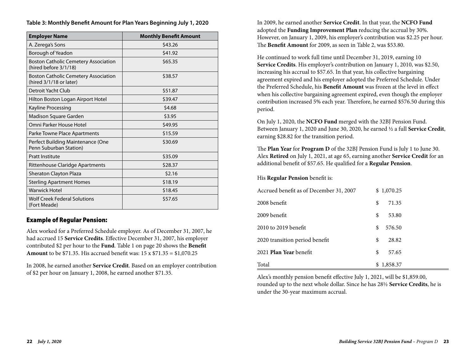| <b>Employer Name</b>                                                   | <b>Monthly Benefit Amount</b> |
|------------------------------------------------------------------------|-------------------------------|
| A. Zerega's Sons                                                       | \$43.26                       |
| Borough of Yeadon                                                      | \$41.92                       |
| <b>Boston Catholic Cemetery Association</b><br>(hired before 3/1/18)   | \$65.35                       |
| <b>Boston Catholic Cemetery Association</b><br>(hired 3/1/18 or later) | \$38.57                       |
| Detroit Yacht Club                                                     | \$51.87                       |
| Hilton Boston Logan Airport Hotel                                      | \$39.47                       |
| Kayline Processing                                                     | \$4.68                        |
| Madison Square Garden                                                  | \$3.95                        |
| Omni Parker House Hotel                                                | \$49.95                       |
| Parke Towne Place Apartments                                           | \$15.59                       |
| Perfect Building Maintenance (One<br>Penn Suburban Station)            | \$30.69                       |
| <b>Pratt Institute</b>                                                 | \$35.09                       |
| Rittenhouse Claridge Apartments                                        | \$28.37                       |
| Sheraton Clayton Plaza                                                 | \$2.16                        |
| <b>Sterling Apartment Homes</b>                                        | \$18.19                       |
| <b>Warwick Hotel</b>                                                   | \$18.45                       |
| <b>Wolf Creek Federal Solutions</b><br>(Fort Meade)                    | \$57.65                       |

#### **Table 3: Monthly Benefit Amount for Plan Years Beginning July 1, 2020**

#### Example of Regular Pension:

Alex worked for a Preferred Schedule employer. As of December 31, 2007, he had accrued 15 **Service Credits**. Effective December 31, 2007, his employer contributed \$2 per hour to the **Fund**. Table 1 on page 20 shows the **Benefit Amount** to be \$71.35. His accrued benefit was: 15 x \$71.35 = \$1,070.25

In 2008, he earned another **Service Credit**. Based on an employer contribution of \$2 per hour on January 1, 2008, he earned another \$71.35.

In 2009, he earned another **Service Credit**. In that year, the **NCFO Fund** adopted the **Funding Improvement Plan** reducing the accrual by 30%. However, on January 1, 2009, his employer's contribution was \$2.25 per hour. The **Benefit Amount** for 2009, as seen in Table 2, was \$53.80.

He continued to work full time until December 31, 2019, earning 10 **Service Credits**. His employer's contribution on January 1, 2010, was \$2.50, increasing his accrual to \$57.65. In that year, his collective bargaining agreement expired and his employer adopted the Preferred Schedule. Under the Preferred Schedule, his **Benefit Amount** was frozen at the level in effect when his collective bargaining agreement expired, even though the employer contribution increased 5% each year. Therefore, he earned \$576.50 during this period.

On July 1, 2020, the **NCFO Fund** merged with the 32BJ Pension Fund. Between January 1, 2020 and June 30, 2020, he earned ½ a full **Service Credit**, earning \$28.82 for the transition period.

The **Plan Year** for **Program D** of the 32BJ Pension Fund is July 1 to June 30. Alex **Retired** on July 1, 2021, at age 65, earning another **Service Credit** for an additional benefit of \$57.65. He qualified for a **Regular Pension**.

His **Regular Pension** benefit is:

| Accrued benefit as of December 31, 2007 | \$1,070.25   |
|-----------------------------------------|--------------|
| 2008 benefit                            | \$<br>71.35  |
| 2009 benefit                            | \$<br>53.80  |
| 2010 to 2019 benefit                    | 576.50<br>\$ |
| 2020 transition period benefit          | \$<br>28.82  |
| 2021 <b>Plan Year</b> benefit           | \$<br>57.65  |
| Total                                   | \$1,858.37   |

Alex's monthly pension benefit effective July 1, 2021, will be \$1,859.00, rounded up to the next whole dollar. Since he has 28½ **Service Credits**, he is under the 30-year maximum accrual.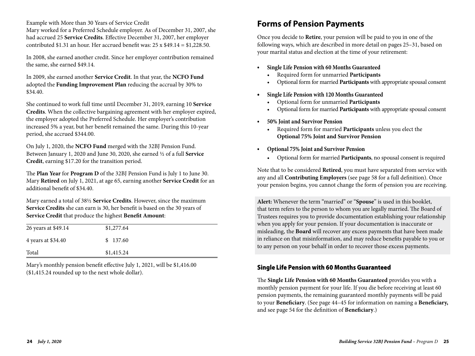Example with More than 30 Years of Service Credit

Mary worked for a Preferred Schedule employer. As of December 31, 2007, she had accrued 25 **Service Credits**. Effective December 31, 2007, her employer contributed \$1.31 an hour. Her accrued benefit was: 25 x \$49.14 = \$1,228.50.

In 2008, she earned another credit. Since her employer contribution remained the same, she earned \$49.14.

In 2009, she earned another **Service Credit**. In that year, the **NCFO Fund**  adopted the **Funding Improvement Plan** reducing the accrual by 30% to \$34.40.

She continued to work full time until December 31, 2019, earning 10 **Service Credits**. When the collective bargaining agreement with her employer expired, the employer adopted the Preferred Schedule. Her employer's contribution increased 5% a year, but her benefit remained the same. During this 10-year period, she accrued \$344.00.

On July 1, 2020, the **NCFO Fund** merged with the 32BJ Pension Fund. Between January 1, 2020 and June 30, 2020, she earned ½ of a full **Service Credit**, earning \$17.20 for the transition period.

The **Plan Year** for **Program D** of the 32BJ Pension Fund is July 1 to June 30. Mary **Retired** on July 1, 2021, at age 65, earning another **Service Credit** for an additional benefit of \$34.40.

Mary earned a total of 38½ **Service Credits**. However, since the maximum **Service Credits** she can earn is 30, her benefit is based on the 30 years of **Service Credit** that produce the highest **Benefit Amount**:

| 26 years at \$49.14 | \$1,277.64 |
|---------------------|------------|
| 4 years at \$34.40  | \$137.60   |
| Total               | \$1,415.24 |

Mary's monthly pension benefit effective July 1, 2021, will be \$1,416.00 (\$1,415.24 rounded up to the next whole dollar).

# **Forms of Pension Payments**

Once you decide to **Retire**, your pension will be paid to you in one of the following ways, which are described in more detail on pages 25–31, based on your marital status and election at the time of your retirement:

- **• Single Life Pension with 60 Months Guaranteed**
	- Required form for unmarried **Participants**
	- Optional form for married **Participants** with appropriate spousal consent
- **Single Life Pension with 120 Months Guaranteed**
	- Optional form for unmarried **Participants**
	- Optional form for married **Participants** with appropriate spousal consent
- **• 50% Joint and Survivor Pension**
	- Required form for married **Participants** unless you elect the **Optional 75% Joint and Survivor Pension**
- **• Optional 75% Joint and Survivor Pension**
	- Optional form for married **Participants**, no spousal consent is required

Note that to be considered **Retired**, you must have separated from service with any and all **Contributing Employers** (see page 58 for a full definition). Once your pension begins, you cannot change the form of pension you are receiving.

**Alert:** Whenever the term "married" or "**Spouse**" is used in this booklet, that term refers to the person to whom you are legally married. The Board of Trustees requires you to provide documentation establishing your relationship when you apply for your pension. If your documentation is inaccurate or misleading, the **Board** will recover any excess payments that have been made in reliance on that misinformation, and may reduce benefits payable to you or to any person on your behalf in order to recover those excess payments.

## Single Life Pension with 60 Months Guaranteed

The **Single Life Pension with 60 Months Guaranteed** provides you with a monthly pension payment for your life. If you die before receiving at least 60 pension payments, the remaining guaranteed monthly payments will be paid to your **Beneficiary**. (See page 44–45 for information on naming a **Beneficiary,**  and see page 54 for the definition of **Beneficiary**.)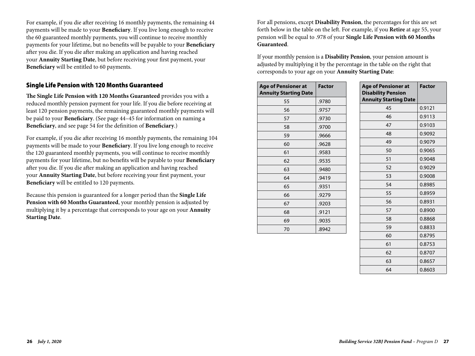For example, if you die after receiving 16 monthly payments, the remaining 44 payments will be made to your **Beneficiary**. If you live long enough to receive the 60 guaranteed monthly payments, you will continue to receive monthly payments for your lifetime, but no benefits will be payable to your **Beneficiary** after you die. If you die after making an application and having reached your **Annuity Starting Date**, but before receiving your first payment, your **Beneficiary** will be entitled to 60 payments.

### Single Life Pension with 120 Months Guaranteed

**The Single Life Pension with 120 Months Guaranteed** provides you with a reduced monthly pension payment for your life. If you die before receiving at least 120 pension payments, the remaining guaranteed monthly payments will be paid to your **Beneficiary**. (See page 44–45 for information on naming a **Beneficiary**, and see page 54 for the definition of **Beneficiary**.)

For example, if you die after receiving 16 monthly payments, the remaining 104 payments will be made to your **Beneficiary**. If you live long enough to receive the 120 guaranteed monthly payments, you will continue to receive monthly payments for your lifetime, but no benefits will be payable to your **Beneficiary** after you die. If you die after making an application and having reached your **Annuity Starting Date**, but before receiving your first payment, your **Beneficiary** will be entitled to 120 payments.

Because this pension is guaranteed for a longer period than the **Single Life Pension with 60 Months Guaranteed**, your monthly pension is adjusted by multiplying it by a percentage that corresponds to your age on your **Annuity Starting Date**.

For all pensions, except **Disability Pension**, the percentages for this are set forth below in the table on the left. For example, if you **Retire** at age 55, your pension will be equal to .978 of your **Single Life Pension with 60 Months Guaranteed**.

If your monthly pension is a **Disability Pension**, your pension amount is adjusted by multiplying it by the percentage in the table on the right that corresponds to your age on your **Annuity Starting Date**:

| <b>Age of Pensioner at</b><br><b>Annuity Starting Date</b> | <b>Factor</b> |
|------------------------------------------------------------|---------------|
| 55                                                         | .9780         |
| 56                                                         | .9757         |
| 57                                                         | .9730         |
| 58                                                         | .9700         |
| 59                                                         | .9666         |
| 60                                                         | .9628         |
| 61                                                         | .9583         |
| 62                                                         | .9535         |
| 63                                                         | .9480         |
| 64                                                         | .9419         |
| 65                                                         | .9351         |
| 66                                                         | .9279         |
| 67                                                         | .9203         |
| 68                                                         | .9121         |
| 69                                                         | .9035         |
| 70                                                         | .8942         |

| <b>Age of Pensioner at</b><br><b>Disability Pension</b><br><b>Annuity Starting Date</b> | <b>Factor</b> |
|-----------------------------------------------------------------------------------------|---------------|
| 45                                                                                      | 0.9121        |
| 46                                                                                      | 0.9113        |
| 47                                                                                      | 0.9103        |
| 48                                                                                      | 0.9092        |
| 49                                                                                      | 0.9079        |
| 50                                                                                      | 0.9065        |
| 51                                                                                      | 0.9048        |
| 52                                                                                      | 0.9029        |
| 53                                                                                      | 0.9008        |
| 54                                                                                      | 0.8985        |
| 55                                                                                      | 0.8959        |
| 56                                                                                      | 0.8931        |
| 57                                                                                      | 0.8900        |
| 58                                                                                      | 0.8868        |
| 59                                                                                      | 0.8833        |
| 60                                                                                      | 0.8795        |
| 61                                                                                      | 0.8753        |
| 62                                                                                      | 0.8707        |
| 63                                                                                      | 0.8657        |
| 64                                                                                      | 0.8603        |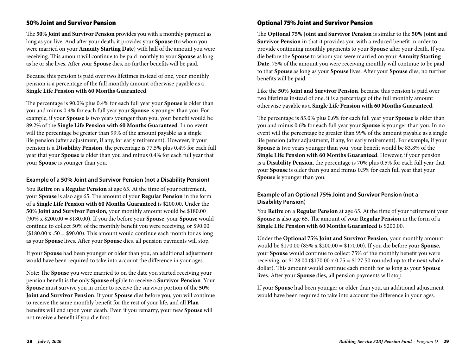### 50% Joint and Survivor Pension

The **50% Joint and Survivor Pension** provides you with a monthly payment as long as you live. And after your death, it provides your **Spouse** (to whom you were married on your **Annuity Starting Date**) with half of the amount you were receiving. This amount will continue to be paid monthly to your **Spouse** as long as he or she lives. After your **Spouse** dies, no further benefits will be paid.

Because this pension is paid over two lifetimes instead of one, your monthly pension is a percentage of the full monthly amount otherwise payable as a **Single Life Pension with 60 Months Guaranteed**.

The percentage is 90.0% plus 0.4% for each full year your **Spouse** is older than you and minus 0.4% for each full year your **Spouse** is younger than you. For example, if your **Spouse** is two years younger than you, your benefit would be 89.2% of the **Single Life Pension with 60 Months Guaranteed**. In no event will the percentage be greater than 99% of the amount payable as a single life pension (after adjustment, if any, for early retirement). However, if your pension is a **Disability Pension**, the percentage is 77.5% plus 0.4% for each full year that your **Spouse** is older than you and minus 0.4% for each full year that your **Spouse** is younger than you.

#### **Example of a 50% Joint and Survivor Pension (not a Disability Pension)**

You **Retire** on a **Regular Pension** at age 65. At the time of your retirement, your **Spouse** is also age 65. The amount of your **Regular Pension** in the form of a **Single Life Pension with 60 Months Guaranteed** is \$200.00. Under the **50% Joint and Survivor Pension**, your monthly amount would be \$180.00 (90% x \$200.00 = \$180.00). If you die before your **Spouse**, your **Spouse** would continue to collect 50% of the monthly benefit you were receiving, or \$90.00  $($180.00 \times .50 = $90.00)$ . This amount would continue each month for as long as your **Spouse** lives. After your **Spouse** dies, all pension payments will stop.

If your **Spouse** had been younger or older than you, an additional adjustment would have been required to take into account the difference in your ages.

Note: The **Spouse** you were married to on the date you started receiving your pension benefit is the only **Spouse** eligible to receive a **Survivor Pension**. Your **Spouse** must survive you in order to receive the survivor portion of the **50% Joint and Survivor Pension**. If your **Spouse** dies before you, you will continue to receive the same monthly benefit for the rest of your life, and all **Plan**  benefits will end upon your death. Even if you remarry, your new **Spouse** will not receive a benefit if you die first.

### Optional 75% Joint and Survivor Pension

The **Optional 75% Joint and Survivor Pension** is similar to the **50% Joint and Survivor Pension** in that it provides you with a reduced benefit in order to provide continuing monthly payments to your **Spouse** after your death. If you die before the **Spouse** to whom you were married on your **Annuity Starting Date**, 75% of the amount you were receiving monthly will continue to be paid to that **Spouse** as long as your **Spouse** lives. After your **Spouse** dies, no further benefits will be paid.

Like the **50% Joint and Survivor Pension**, because this pension is paid over two lifetimes instead of one, it is a percentage of the full monthly amount otherwise payable as a **Single Life Pension with 60 Months Guaranteed**.

The percentage is 85.0% plus 0.6% for each full year your **Spouse** is older than you and minus 0.6% for each full year your **Spouse** is younger than you. In no event will the percentage be greater than 99% of the amount payable as a single life pension (after adjustment, if any, for early retirement). For example, if your **Spouse** is two years younger than you, your benefit would be 83.8% of the **Single Life Pension with 60 Months Guaranteed**. However, if your pension is a **Disability Pension**, the percentage is 70% plus 0.5% for each full year that your **Spouse** is older than you and minus 0.5% for each full year that your **Spouse** is younger than you.

#### **Example of an Optional 75% Joint and Survivor Pension (not a Disability Pension)**

You **Retire** on a **Regular Pension** at age 65. At the time of your retirement your **Spouse** is also age 65. The amount of your **Regular Pension** in the form of a **Single Life Pension with 60 Months Guaranteed** is \$200.00.

Under the **Optional 75% Joint and Survivor Pension**, your monthly amount would be \$170.00 (85% x \$200.00 = \$170.00). If you die before your **Spouse**, your **Spouse** would continue to collect 75% of the monthly benefit you were receiving, or  $$128.00$  ( $$170.00$  x  $0.75 = $127.50$  rounded up to the next whole dollar). This amount would continue each month for as long as your **Spouse** lives. After your **Spouse** dies, all pension payments will stop.

If your **Spouse** had been younger or older than you, an additional adjustment would have been required to take into account the difference in your ages.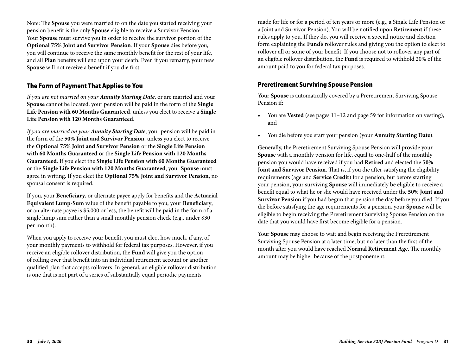Note: The **Spouse** you were married to on the date you started receiving your pension benefit is the only **Spouse** eligible to receive a Survivor Pension. Your **Spouse** must survive you in order to receive the survivor portion of the **Optional 75% Joint and Survivor Pension**. If your **Spouse** dies before you, you will continue to receive the same monthly benefit for the rest of your life, and all **Plan** benefits will end upon your death. Even if you remarry, your new **Spouse** will not receive a benefit if you die first.

#### The Form of Payment That Applies to You

*If you are not married on your Annuity Starting Date*, or are married and your **Spouse** cannot be located, your pension will be paid in the form of the **Single Life Pension with 60 Months Guaranteed**, unless you elect to receive a **Single Life Pension with 120 Months Guaranteed**.

*If you are married on your Annuity Starting Date*, your pension will be paid in the form of the **50% Joint and Survivor Pension**, unless you elect to receive the **Optional 75% Joint and Survivor Pension** or the **Single Life Pension with 60 Months Guaranteed** or the **Single Life Pension with 120 Months Guaranteed**. If you elect the **Single Life Pension with 60 Months Guaranteed**  or the **Single Life Pension with 120 Months Guaranteed**, your **Spouse** must agree in writing. If you elect the **Optional 75% Joint and Survivor Pension**, no spousal consent is required.

If you, your **Beneficiary**, or alternate payee apply for benefits and the **Actuarial Equivalent Lump-Sum** value of the benefit payable to you, your **Beneficiary**, or an alternate payee is \$5,000 or less, the benefit will be paid in the form of a single lump sum rather than a small monthly pension check (e.g., under \$30 per month).

When you apply to receive your benefit, you must elect how much, if any, of your monthly payments to withhold for federal tax purposes. However, if you receive an eligible rollover distribution, the **Fund** will give you the option of rolling over that benefit into an individual retirement account or another qualified plan that accepts rollovers. In general, an eligible rollover distribution is one that is not part of a series of substantially equal periodic payments

made for life or for a period of ten years or more (e.g., a Single Life Pension or a Joint and Survivor Pension). You will be notified upon **Retirement** if these rules apply to you. If they do, you will receive a special notice and election form explaining the **Fund's** rollover rules and giving you the option to elect to rollover all or some of your benefit. If you choose not to rollover any part of an eligible rollover distribution, the **Fund** is required to withhold 20% of the amount paid to you for federal tax purposes.

#### Preretirement Surviving Spouse Pension

Your **Spouse** is automatically covered by a Preretirement Surviving Spouse Pension if:

- You are **Vested** (see pages 11–12 and page 59 for information on vesting), and
- You die before you start your pension (your **Annuity Starting Date**).

Generally, the Preretirement Surviving Spouse Pension will provide your **Spouse** with a monthly pension for life, equal to one-half of the monthly pension you would have received if you had **Retired** and elected the **50% Joint and Survivor Pension**. That is, if you die after satisfying the eligibility requirements (age and **Service Credit**) for a pension, but before starting your pension, your surviving **Spouse** will immediately be eligible to receive a benefit equal to what he or she would have received under the **50% Joint and Survivor Pension** if you had begun that pension the day before you died. If you die before satisfying the age requirements for a pension, your **Spouse** will be eligible to begin receiving the Preretirement Surviving Spouse Pension on the date that you would have first become eligible for a pension.

Your **Spouse** may choose to wait and begin receiving the Preretirement Surviving Spouse Pension at a later time, but no later than the first of the month after you would have reached **Normal Retirement Age**. The monthly amount may be higher because of the postponement.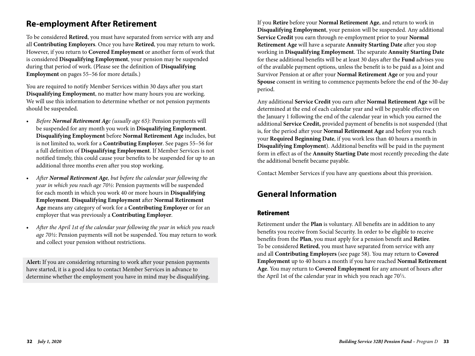# **Re-employment After Retirement**

To be considered **Retired**, you must have separated from service with any and all **Contributing Employers**. Once you have **Retired**, you may return to work. However, if you return to **Covered Employment** or another form of work that is considered **Disqualifying Employment**, your pension may be suspended during that period of work. (Please see the definition of **Disqualifying Employment** on pages 55–56 for more details.)

You are required to notify Member Services within 30 days after you start **Disqualifying Employment**, no matter how many hours you are working. We will use this information to determine whether or not pension payments should be suspended.

- *Before Normal Retirement Age (usually age 65)*: Pension payments will be suspended for any month you work in **Disqualifying Employment**. **Disqualifying Employment** before **Normal Retirement Age** includes, but is not limited to, work for a **Contributing Employer**. See pages 55–56 for a full definition of **Disqualifying Employment**. If Member Services is not notified timely, this could cause your benefits to be suspended for up to an additional three months even after you stop working.
- *After Normal Retirement Age, but before the calendar year following the year in which you reach age 70½*: Pension payments will be suspended for each month in which you work 40 or more hours in **Disqualifying Employment**. **Disqualifying Employment** after **Normal Retirement Age** means any category of work for a **Contributing Employer** or for an employer that was previously a **Contributing Employer**.
- *After the April 1st of the calendar year following the year in which you reach age 70½*: Pension payments will not be suspended. You may return to work and collect your pension without restrictions.

**Alert:** If you are considering returning to work after your pension payments have started, it is a good idea to contact Member Services in advance to determine whether the employment you have in mind may be disqualifying.

If you **Retire** before your **Normal Retirement Age**, and return to work in **Disqualifying Employment**, your pension will be suspended. Any additional **Service Credit** you earn through re-employment prior to your **Normal Retirement Age** will have a separate **Annuity Starting Date** after you stop working in **Disqualifying Employment**. The separate **Annuity Starting Date** for these additional benefits will be at least 30 days after the **Fund** advises you of the available payment options, unless the benefit is to be paid as a Joint and Survivor Pension at or after your **Normal Retirement Age** or you and your **Spouse** consent in writing to commence payments before the end of the 30-day period.

Any additional **Service Credit** you earn after **Normal Retirement Age** will be determined at the end of each calendar year and will be payable effective on the January 1 following the end of the calendar year in which you earned the additional **Service Credit,** provided payment of benefits is not suspended (that is, for the period after your **Normal Retirement Age** and before you reach your **Required Beginning Date**, if you work less than 40 hours a month in **Disqualifying Employment**). Additional benefits will be paid in the payment form in effect as of the **Annuity Starting Date** most recently preceding the date the additional benefit became payable.

Contact Member Services if you have any questions about this provision.

# **General Information**

#### Retirement

Retirement under the **Plan** is voluntary. All benefits are in addition to any benefits you receive from Social Security. In order to be eligible to receive benefits from the **Plan**, you must apply for a pension benefit and **Retire**. To be considered **Retired**, you must have separated from service with any and all **Contributing Employers** (see page 58). You may return to **Covered Employment** up to 40 hours a month if you have reached **Normal Retirement Age**. You may return to **Covered Employment** for any amount of hours after the April 1st of the calendar year in which you reach age  $70\frac{1}{2}$ .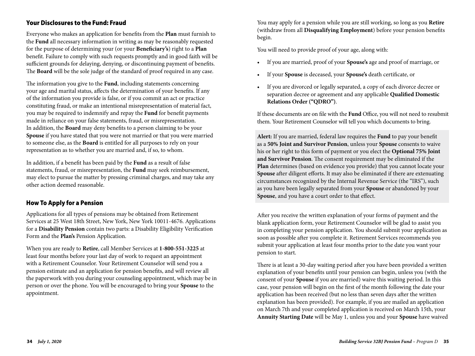#### Your Disclosures to the Fund: Fraud

Everyone who makes an application for benefits from the **Plan** must furnish to the **Fund** all necessary information in writing as may be reasonably requested for the purpose of determining your (or your **Beneficiary's**) right to a **Plan** benefit. Failure to comply with such requests promptly and in good faith will be sufficient grounds for delaying, denying, or discontinuing payment of benefits. The **Board** will be the sole judge of the standard of proof required in any case.

The information you give to the **Fund**, including statements concerning your age and marital status, affects the determination of your benefits. If any of the information you provide is false, or if you commit an act or practice constituting fraud, or make an intentional misrepresentation of material fact, you may be required to indemnify and repay the **Fund** for benefit payments made in reliance on your false statements, fraud, or misrepresentation. In addition, the **Board** may deny benefits to a person claiming to be your **Spouse** if you have stated that you were not married or that you were married to someone else, as the **Board** is entitled for all purposes to rely on your representation as to whether you are married and, if so, to whom.

In addition, if a benefit has been paid by the **Fund** as a result of false statements, fraud, or misrepresentation, the **Fund** may seek reimbursement, may elect to pursue the matter by pressing criminal charges, and may take any other action deemed reasonable.

#### How To Apply for a Pension

Applications for all types of pensions may be obtained from Retirement Services at 25 West 18th Street, New York, New York 10011-4676. Applications for a **Disability Pension** contain two parts: a Disability Eligibility Verification Form and the **Plan's** Pension Application.

When you are ready to **Retire**, call Member Services at **1-800-551-3225** at least four months before your last day of work to request an appointment with a Retirement Counselor. Your Retirement Counselor will send you a pension estimate and an application for pension benefits, and will review all the paperwork with you during your counseling appointment, which may be in person or over the phone. You will be encouraged to bring your **Spouse** to the appointment.

You may apply for a pension while you are still working, so long as you **Retire** (withdraw from all **Disqualifying Employment**) before your pension benefits begin.

You will need to provide proof of your age, along with:

- If you are married, proof of your **Spouse's** age and proof of marriage, or
- If your **Spouse** is deceased, your **Spouse's** death certificate, or
- If you are divorced or legally separated, a copy of each divorce decree or separation decree or agreement and any applicable **Qualified Domestic Relations Order ("QDRO")**.

If these documents are on file with the **Fund** Office, you will not need to resubmit them. Your Retirement Counselor will tell you which documents to bring.

**Alert:** If you are married, federal law requires the **Fund** to pay your benefit as a **50% Joint and Survivor Pension**, unless your **Spouse** consents to waive his or her right to this form of payment or you elect the **Optional 75% Joint and Survivor Pension**. The consent requirement may be eliminated if the **Plan** determines (based on evidence you provide) that you cannot locate your **Spouse** after diligent efforts. It may also be eliminated if there are extenuating circumstances recognized by the Internal Revenue Service (the "IRS"), such as you have been legally separated from your **Spouse** or abandoned by your **Spouse**, and you have a court order to that effect.

After you receive the written explanation of your forms of payment and the blank application form, your Retirement Counselor will be glad to assist you in completing your pension application. You should submit your application as soon as possible after you complete it. Retirement Services recommends you submit your application at least four months prior to the date you want your pension to start.

There is at least a 30-day waiting period after you have been provided a written explanation of your benefits until your pension can begin, unless you (with the consent of your **Spouse** if you are married) waive this waiting period. In this case, your pension will begin on the first of the month following the date your application has been received (but no less than seven days after the written explanation has been provided). For example, if you are mailed an application on March 7th and your completed application is received on March 15th, your **Annuity Starting Date** will be May 1, unless you and your **Spouse** have waived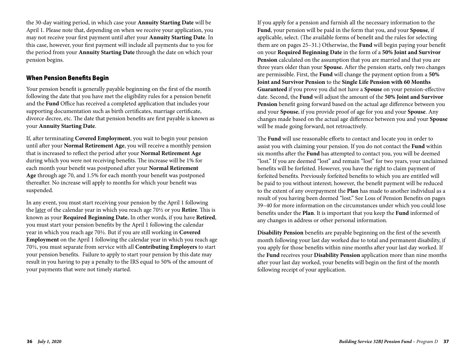the 30-day waiting period, in which case your **Annuity Starting Date** will be April 1. Please note that, depending on when we receive your application, you may not receive your first payment until after your **Annuity Starting Date**. In this case, however, your first payment will include all payments due to you for the period from your **Annuity Starting Date** through the date on which your pension begins.

#### When Pension Benefits Begin

Your pension benefit is generally payable beginning on the first of the month following the date that you have met the eligibility rules for a pension benefit and the **Fund** Office has received a completed application that includes your supporting documentation such as birth certificates, marriage certificate, divorce decree, etc. The date that pension benefits are first payable is known as your **Annuity Starting Date**.

If, after terminating **Covered Employment**, you wait to begin your pension until after your **Normal Retirement Age**, you will receive a monthly pension that is increased to reflect the period after your **Normal Retirement Age** during which you were not receiving benefits. The increase will be 1% for each month your benefit was postponed after your **Normal Retirement Age** through age 70, and 1.5% for each month your benefit was postponed thereafter. No increase will apply to months for which your benefit was suspended.

In any event, you must start receiving your pension by the April 1 following the later of the calendar year in which you reach age 70½ or you **Retire**. This is known as your **Required Beginning Date.** In other words, if you have **Retired**, you must start your pension benefits by the April 1 following the calendar year in which you reach age 70½. But if you are still working in **Covered Employment** on the April 1 following the calendar year in which you reach age 70½, you must separate from service with all **Contributing Employers** to start your pension benefits. Failure to apply to start your pension by this date may result in you having to pay a penalty to the IRS equal to 50% of the amount of your payments that were not timely started.

If you apply for a pension and furnish all the necessary information to the **Fund**, your pension will be paid in the form that you, and your **Spouse**, if applicable, select. (The available forms of benefit and the rules for selecting them are on pages 25–31.) Otherwise, the **Fund** will begin paying your benefit on your **Required Beginning Date** in the form of a **50% Joint and Survivor Pension** calculated on the assumption that you are married and that you are three years older than your **Spouse.** After the pension starts, only two changes are permissible. First, the **Fund** will change the payment option from a **50% Joint and Survivor Pension** to the **Single Life Pension with 60 Months Guaranteed** if you prove you did not have a **Spouse** on your pension-effective date. Second, the **Fund** will adjust the amount of the **50% Joint and Survivor Pension** benefit going forward based on the actual age difference between you and your **Spouse**, if you provide proof of age for you and your **Spouse**. Any changes made based on the actual age difference between you and your **Spouse** will be made going forward, not retroactively.

The **Fund** will use reasonable efforts to contact and locate you in order to assist you with claiming your pension. If you do not contact the **Fund** within six months after the **Fund** has attempted to contact you, you will be deemed "lost." If you are deemed "lost" and remain "lost" for two years, your unclaimed benefits will be forfeited. However, you have the right to claim payment of forfeited benefits. Previously forfeited benefits to which you are entitled will be paid to you without interest; however, the benefit payment will be reduced to the extent of any overpayment the **Plan** has made to another individual as a result of you having been deemed "lost." See Loss of Pension Benefits on pages 39–40 for more information on the circumstances under which you could lose benefits under the **Plan**. It is important that you keep the **Fund** informed of any changes in address or other personal information.

**Disability Pension** benefits are payable beginning on the first of the seventh month following your last day worked due to total and permanent disability, if you apply for those benefits within nine months after your last day worked. If the **Fund** receives your **Disability Pension** application more than nine months after your last day worked, your benefits will begin on the first of the month following receipt of your application.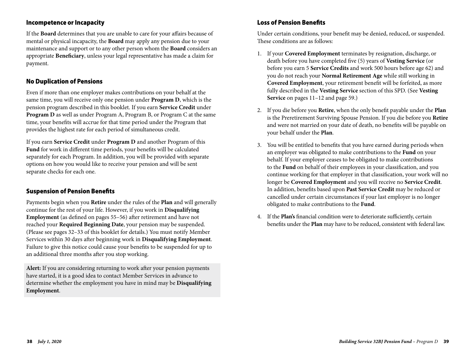#### Incompetence or Incapacity

If the **Board** determines that you are unable to care for your affairs because of mental or physical incapacity, the **Board** may apply any pension due to your maintenance and support or to any other person whom the **Board** considers an appropriate **Beneficiary**, unless your legal representative has made a claim for payment.

#### No Duplication of Pensions

Even if more than one employer makes contributions on your behalf at the same time, you will receive only one pension under **Program D**, which is the pension program described in this booklet. If you earn **Service Credit** under **Program D** as well as under Program A, Program B, or Program C at the same time, your benefits will accrue for that time period under the Program that provides the highest rate for each period of simultaneous credit.

If you earn **Service Credit** under **Program D** and another Program of this **Fund** for work in different time periods, your benefits will be calculated separately for each Program. In addition, you will be provided with separate options on how you would like to receive your pension and will be sent separate checks for each one.

#### Suspension of Pension Benefits

Payments begin when you **Retire** under the rules of the **Plan** and will generally continue for the rest of your life. However, if you work in **Disqualifying Employment** (as defined on pages 55–56) after retirement and have not reached your **Required Beginning Date**, your pension may be suspended. (Please see pages 32–33 of this booklet for details.) You must notify Member Services within 30 days after beginning work in **Disqualifying Employment**. Failure to give this notice could cause your benefits to be suspended for up to an additional three months after you stop working.

**Alert:** If you are considering returning to work after your pension payments have started, it is a good idea to contact Member Services in advance to determine whether the employment you have in mind may be **Disqualifying Employment**.

#### Loss of Pension Benefits

Under certain conditions, your benefit may be denied, reduced, or suspended. These conditions are as follows:

- 1. If your **Covered Employment** terminates by resignation, discharge, or death before you have completed five (5) years of **Vesting Service** (or before you earn 5 **Service Credits** and work 500 hours before age 62) and you do not reach your **Normal Retirement Age** while still working in **Covered Employment**, your retirement benefit will be forfeited, as more fully described in the **Vesting Service** section of this SPD. (See **Vesting Service** on pages 11–12 and page 59.)
- 2. If you die before you **Retire**, when the only benefit payable under the **Plan** is the Preretirement Surviving Spouse Pension. If you die before you **Retire** and were not married on your date of death, no benefits will be payable on your behalf under the **Plan**.
- 3. You will be entitled to benefits that you have earned during periods when an employer was obligated to make contributions to the **Fund** on your behalf. If your employer ceases to be obligated to make contributions to the **Fund** on behalf of their employees in your classification, and you continue working for that employer in that classification, your work will no longer be **Covered Employment** and you will receive no **Service Credit**. In addition, benefits based upon **Past Service Credit** may be reduced or cancelled under certain circumstances if your last employer is no longer obligated to make contributions to the **Fund**.
- 4. If the **Plan's** financial condition were to deteriorate sufficiently, certain benefits under the **Plan** may have to be reduced, consistent with federal law.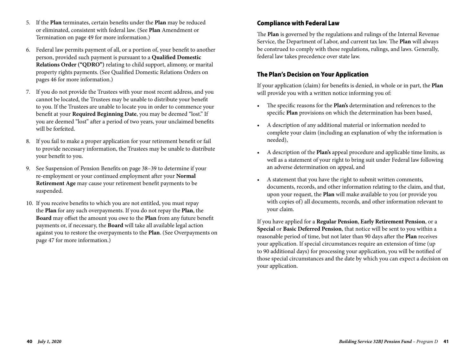- 5. If the **Plan** terminates, certain benefits under the **Plan** may be reduced or eliminated, consistent with federal law. (See **Plan** Amendment or Termination on page 49 for more information.)
- 6. Federal law permits payment of all, or a portion of, your benefit to another person, provided such payment is pursuant to a **Qualified Domestic Relations Order ("QDRO")** relating to child support, alimony, or marital property rights payments. (See Qualified Domestic Relations Orders on pages 46 for more information.)
- 7. If you do not provide the Trustees with your most recent address, and you cannot be located, the Trustees may be unable to distribute your benefit to you. If the Trustees are unable to locate you in order to commence your benefit at your **Required Beginning Date**, you may be deemed "lost." If you are deemed "lost" after a period of two years, your unclaimed benefits will be forfeited.
- 8. If you fail to make a proper application for your retirement benefit or fail to provide necessary information, the Trustees may be unable to distribute your benefit to you.
- 9. See Suspension of Pension Benefits on page 38–39 to determine if your re-employment or your continued employment after your **Normal Retirement Age** may cause your retirement benefit payments to be suspended.
- 10. If you receive benefits to which you are not entitled, you must repay the **Plan** for any such overpayments. If you do not repay the **Plan**, the **Board** may offset the amount you owe to the **Plan** from any future benefit payments or, if necessary, the **Board** will take all available legal action against you to restore the overpayments to the **Plan**. (See Overpayments on page 47 for more information.)

# Compliance with Federal Law

The **Plan** is governed by the regulations and rulings of the Internal Revenue Service, the Department of Labor, and current tax law. The **Plan** will always be construed to comply with these regulations, rulings, and laws. Generally, federal law takes precedence over state law.

### The Plan's Decision on Your Application

If your application (claim) for benefits is denied, in whole or in part, the **Plan** will provide you with a written notice informing you of:

- The specific reasons for the **Plan's** determination and references to the specific **Plan** provisions on which the determination has been based,
- A description of any additional material or information needed to complete your claim (including an explanation of why the information is needed),
- A description of the **Plan's** appeal procedure and applicable time limits, as well as a statement of your right to bring suit under Federal law following an adverse determination on appeal, and
- A statement that you have the right to submit written comments, documents, records, and other information relating to the claim, and that, upon your request, the **Plan** will make available to you (or provide you with copies of) all documents, records, and other information relevant to your claim.

If you have applied for a **Regular Pension**, **Early Retirement Pension**, or a **Special** or **Basic Deferred Pension**, that notice will be sent to you within a reasonable period of time, but not later than 90 days after the **Plan** receives your application. If special circumstances require an extension of time (up to 90 additional days) for processing your application, you will be notified of those special circumstances and the date by which you can expect a decision on your application.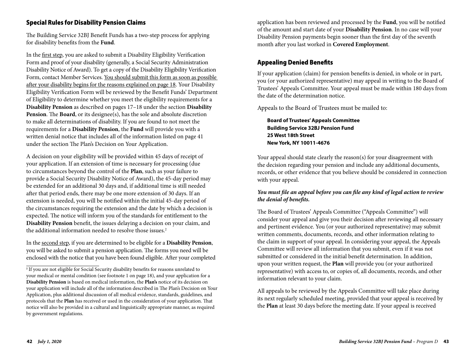### Special Rules for Disability Pension Claims

The Building Service 32BJ Benefit Funds has a two-step process for applying for disability benefits from the **Fund**.

In the first step, you are asked to submit a Disability Eligibility Verification Form and proof of your disability (generally, a Social Security Administration Disability Notice of Award). To get a copy of the Disability Eligibility Verification Form, contact Member Services. You should submit this form as soon as possible after your disability begins for the reasons explained on page 18. Your Disability Eligibility Verification Form will be reviewed by the Benefit Funds' Department of Eligibility to determine whether you meet the eligibility requirements for a **Disability Pension** as described on pages 17–18 under the section **Disability Pension**. The **Board**, or its designee(s), has the sole and absolute discretion to make all determinations of disability. If you are found to not meet the requirements for a **Disability Pension**, the **Fund** will provide you with a written denial notice that includes all of the information listed on page 41 under the section The Plan's Decision on Your Application.

A decision on your eligibility will be provided within 45 days of receipt of your application. If an extension of time is necessary for processing (due to circumstances beyond the control of the **Plan**, such as your failure to provide a Social Security Disability Notice of Award), the 45-day period may be extended for an additional 30 days and, if additional time is still needed after that period ends, there may be one more extension of 30 days. If an extension is needed, you will be notified within the initial 45-day period of the circumstances requiring the extension and the date by which a decision is expected. The notice will inform you of the standards for entitlement to the **Disability Pension** benefit, the issues delaying a decision on your claim, and the additional information needed to resolve those issues.<sup>2</sup>

In the second step, if you are determined to be eligible for a **Disability Pension**, you will be asked to submit a pension application. The forms you need will be enclosed with the notice that you have been found eligible. After your completed

application has been reviewed and processed by the **Fund**, you will be notified of the amount and start date of your **Disability Pension**. In no case will your Disability Pension payments begin sooner than the first day of the seventh month after you last worked in **Covered Employment**.

### Appealing Denied Benefits

If your application (claim) for pension benefits is denied, in whole or in part, you (or your authorized representative) may appeal in writing to the Board of Trustees' Appeals Committee. Your appeal must be made within 180 days from the date of the determination notice.

Appeals to the Board of Trustees must be mailed to:

 **Board of Trustees' Appeals Committee Building Service 32BJ Pension Fund 25 West 18th Street New York, NY 10011-4676**

Your appeal should state clearly the reason(s) for your disagreement with the decision regarding your pension and include any additional documents, records, or other evidence that you believe should be considered in connection with your appeal.

#### *You must file an appeal before you can file any kind of legal action to review the denial of benefits.*

The Board of Trustees' Appeals Committee ("Appeals Committee") will consider your appeal and give you their decision after reviewing all necessary and pertinent evidence. You (or your authorized representative) may submit written comments, documents, records, and other information relating to the claim in support of your appeal. In considering your appeal, the Appeals Committee will review all information that you submit, even if it was not submitted or considered in the initial benefit determination. In addition, upon your written request, the **Plan** will provide you (or your authorized representative) with access to, or copies of, all documents, records, and other information relevant to your claim.

All appeals to be reviewed by the Appeals Committee will take place during its next regularly scheduled meeting, provided that your appeal is received by the **Plan** at least 30 days before the meeting date. If your appeal is received

**<sup>2</sup>** If you are not eligible for Social Security disability benefits for reasons unrelated to your medical or mental condition (see footnote 1 on page 18), and your application for a **Disability Pension** is based on medical information, the **Plan's** notice of its decision on your application will include all of the information described in The Plan's Decision on Your Application, plus additional discussion of all medical evidence, standards, guidelines, and protocols that the **Plan** has received or used in the consideration of your application. That notice will also be provided in a cultural and linguistically appropriate manner, as required by government regulations.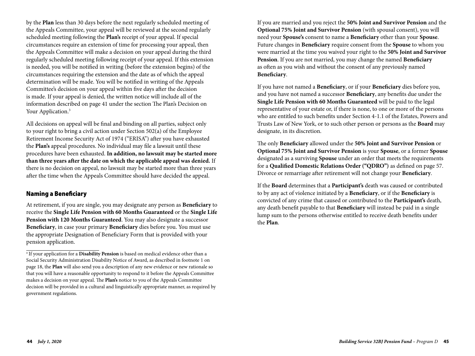by the **Plan** less than 30 days before the next regularly scheduled meeting of the Appeals Committee, your appeal will be reviewed at the second regularly scheduled meeting following the **Plan's** receipt of your appeal. If special circumstances require an extension of time for processing your appeal, then the Appeals Committee will make a decision on your appeal during the third regularly scheduled meeting following receipt of your appeal. If this extension is needed, you will be notified in writing (before the extension begins) of the circumstances requiring the extension and the date as of which the appeal determination will be made. You will be notified in writing of the Appeals Committee's decision on your appeal within five days after the decision is made. If your appeal is denied, the written notice will include all of the information described on page 41 under the section The Plan's Decision on Your Application.<sup>3</sup>

All decisions on appeal will be final and binding on all parties, subject only to your right to bring a civil action under Section 502(a) of the Employee Retirement Income Security Act of 1974 ("ERISA") after you have exhausted the **Plan's** appeal procedures. No individual may file a lawsuit until these procedures have been exhausted. **In addition, no lawsuit may be started more than three years after the date on which the applicable appeal was denied.** If there is no decision on appeal, no lawsuit may be started more than three years after the time when the Appeals Committee should have decided the appeal.

#### Naming a Beneficiary

At retirement, if you are single, you may designate any person as **Beneficiary** to receive the **Single Life Pension with 60 Months Guaranteed** or the **Single Life Pension with 120 Months Guaranteed**. You may also designate a successor **Beneficiary**, in case your primary **Beneficiary** dies before you. You must use the appropriate Designation of Beneficiary Form that is provided with your pension application.

If you are married and you reject the **50% Joint and Survivor Pension** and the **Optional 75% Joint and Survivor Pension** (with spousal consent), you will need your **Spouse's** consent to name a **Beneficiary** other than your **Spouse**. Future changes in **Beneficiary** require consent from the **Spouse** to whom you were married at the time you waived your right to the **50% Joint and Survivor Pension**. If you are not married, you may change the named **Beneficiary** as often as you wish and without the consent of any previously named **Beneficiary**.

If you have not named a **Beneficiary**, or if your **Beneficiary** dies before you, and you have not named a successor **Beneficiary**, any benefits due under the **Single Life Pension with 60 Months Guaranteed** will be paid to the legal representative of your estate or, if there is none, to one or more of the persons who are entitled to such benefits under Section 4-1.1 of the Estates, Powers and Trusts Law of New York, or to such other person or persons as the **Board** may designate, in its discretion.

The only **Beneficiary** allowed under the **50% Joint and Survivor Pension** or **Optional 75% Joint and Survivor Pension** is your **Spouse**, or a former **Spouse** designated as a surviving **Spouse** under an order that meets the requirements for a **Qualified Domestic Relations Order ("QDRO")** as defined on page 57. Divorce or remarriage after retirement will not change your **Beneficiary**.

If the **Board** determines that a **Participant's** death was caused or contributed to by any act of violence initiated by a **Beneficiary**, or if the **Beneficiary** is convicted of any crime that caused or contributed to the **Participant's** death, any death benefit payable to that **Beneficiary** will instead be paid in a single lump sum to the persons otherwise entitled to receive death benefits under the **Plan**.

**<sup>3</sup>** If your application for a **Disability Pension** is based on medical evidence other than a Social Security Administration Disability Notice of Award, as described in footnote 1 on page 18, the **Plan** will also send you a description of any new evidence or new rationale so that you will have a reasonable opportunity to respond to it before the Appeals Committee makes a decision on your appeal. The **Plan's** notice to you of the Appeals Committee decision will be provided in a cultural and linguistically appropriate manner, as required by government regulations.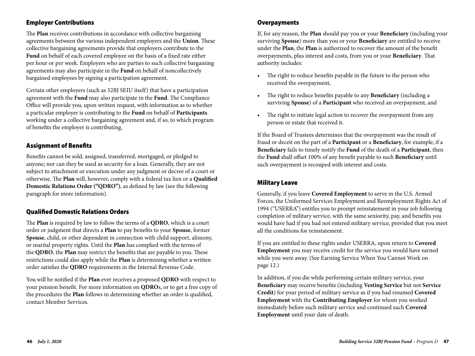### Employer Contributions

The **Plan** receives contributions in accordance with collective bargaining agreements between the various independent employers and the **Union**. These collective bargaining agreements provide that employers contribute to the **Fund** on behalf of each covered employee on the basis of a fixed rate either per hour or per week. Employers who are parties to such collective bargaining agreements may also participate in the **Fund** on behalf of noncollectively bargained employees by signing a participation agreement.

Certain other employers (such as 32BJ SEIU itself) that have a participation agreement with the **Fund** may also participate in the **Fund**. The Compliance Office will provide you, upon written request, with information as to whether a particular employer is contributing to the **Fund** on behalf of **Participants** working under a collective bargaining agreement and, if so, to which program of benefits the employer is contributing.

#### Assignment of Benefits

Benefits cannot be sold, assigned, transferred, mortgaged, or pledged to anyone; nor can they be used as security for a loan. Generally, they are not subject to attachment or execution under any judgment or decree of a court or otherwise. The **Plan** will, however, comply with a federal tax lien or a **Qualified Domestic Relations Order ("QDRO")**, as defined by law (see the following paragraph for more information).

#### Qualified Domestic Relations Orders

The **Plan** is required by law to follow the terms of a **QDRO**, which is a court order or judgment that directs a **Plan** to pay benefits to your **Spouse**, former **Spouse**, child, or other dependent in connection with child support, alimony, or marital property rights. Until the **Plan** has complied with the terms of the **QDRO**, the **Plan** may restrict the benefits that are payable to you. These restrictions could also apply while the **Plan** is determining whether a written order satisfies the **QDRO** requirements in the Internal Revenue Code.

You will be notified if the **Plan** ever receives a proposed **QDRO** with respect to your pension benefit. For more information on **QDRO**s, or to get a free copy of the procedures the **Plan** follows in determining whether an order is qualified, contact Member Services.

#### **Overpayments**

If, for any reason, the **Plan** should pay you or your **Beneficiary** (including your surviving **Spouse**) more than you or your **Beneficiary** are entitled to receive under the **Plan**, the **Plan** is authorized to recover the amount of the benefit overpayments, plus interest and costs, from you or your **Beneficiary**. That authority includes:

- The right to reduce benefits payable in the future to the person who received the overpayment,
- The right to reduce benefits payable to any **Beneficiary** (including a surviving **Spouse**) of a **Participant** who received an overpayment, and
- The right to initiate legal action to recover the overpayment from any person or estate that received it.

If the Board of Trustees determines that the overpayment was the result of fraud or deceit on the part of a **Participant** or a **Beneficiary**, for example, if a **Beneficiary** fails to timely notify the **Fund** of the death of a **Participant**, then the **Fund** shall offset 100% of any benefit payable to such **Beneficiary** until such overpayment is recouped with interest and costs.

#### Military Leave

Generally, if you leave **Covered Employment** to serve in the U.S. Armed Forces, the Uniformed Services Employment and Reemployment Rights Act of 1994 ("USERRA") entitles you to prompt reinstatement in your job following completion of military service, with the same seniority, pay, and benefits you would have had if you had not entered military service, provided that you meet all the conditions for reinstatement.

If you are entitled to these rights under USERRA, upon return to **Covered Employment** you may receive credit for the service you would have earned while you were away. (See Earning Service When You Cannot Work on page 12.)

In addition, if you die while performing certain military service, your **Beneficiary** may receive benefits (including **Vesting Service** but not **Service Credit**) for your period of military service as if you had resumed **Covered Employment** with the **Contributing Employer** for whom you worked immediately before such military service and continued such **Covered Employment** until your date of death.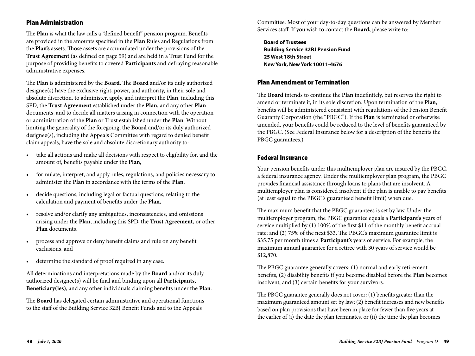#### Plan Administration

The **Plan** is what the law calls a "defined benefit" pension program. Benefits are provided in the amounts specified in the **Plan** Rules and Regulations from the **Plan's** assets. Those assets are accumulated under the provisions of the **Trust Agreement** (as defined on page 59) and are held in a Trust Fund for the purpose of providing benefits to covered **Participants** and defraying reasonable administrative expenses.

The **Plan** is administered by the **Board**. The **Board** and/or its duly authorized designee(s) have the exclusive right, power, and authority, in their sole and absolute discretion, to administer, apply, and interpret the **Plan**, including this SPD, the **Trust Agreement** established under the **Plan**, and any other **Plan**  documents, and to decide all matters arising in connection with the operation or administration of the **Plan** or Trust established under the **Plan**. Without limiting the generality of the foregoing, the **Board** and/or its duly authorized designee(s), including the Appeals Committee with regard to denied benefit claim appeals, have the sole and absolute discretionary authority to:

- take all actions and make all decisions with respect to eligibility for, and the amount of, benefits payable under the **Plan**,
- formulate, interpret, and apply rules, regulations, and policies necessary to administer the **Plan** in accordance with the terms of the **Plan**,
- decide questions, including legal or factual questions, relating to the calculation and payment of benefits under the **Plan**,
- resolve and/or clarify any ambiguities, inconsistencies, and omissions arising under the **Plan**, including this SPD, the **Trust Agreement**, or other **Plan** documents,
- process and approve or deny benefit claims and rule on any benefit exclusions, and
- determine the standard of proof required in any case.

All determinations and interpretations made by the **Board** and/or its duly authorized designee(s) will be final and binding upon all **Participants, Beneficiary(ies)**, and any other individuals claiming benefits under the **Plan**.

The **Board** has delegated certain administrative and operational functions to the staff of the Building Service 32BJ Benefit Funds and to the Appeals

Committee. Most of your day-to-day questions can be answered by Member Services staff. If you wish to contact the **Board,** please write to:

**Board of Trustees Building Service 32BJ Pension Fund 25 West 18th Street New York, New York 10011-4676**

#### Plan Amendment or Termination

The **Board** intends to continue the **Plan** indefinitely, but reserves the right to amend or terminate it, in its sole discretion. Upon termination of the **Plan**, benefits will be administered consistent with regulations of the Pension Benefit Guaranty Corporation (the "PBGC"). If the **Plan** is terminated or otherwise amended, your benefits could be reduced to the level of benefits guaranteed by the PBGC. (See Federal Insurance below for a description of the benefits the PBGC guarantees.)

#### Federal Insurance

Your pension benefits under this multiemployer plan are insured by the PBGC, a federal insurance agency. Under the multiemployer plan program, the PBGC provides financial assistance through loans to plans that are insolvent. A multiemployer plan is considered insolvent if the plan is unable to pay benefits (at least equal to the PBGC's guaranteed benefit limit) when due.

The maximum benefit that the PBGC guarantees is set by law. Under the multiemployer program, the PBGC guarantee equals a **Participant's** years of service multiplied by (1) 100% of the first \$11 of the monthly benefit accrual rate; and (2) 75% of the next \$33. The PBGC's maximum guarantee limit is \$35.75 per month times a **Participant's** years of service. For example, the maximum annual guarantee for a retiree with 30 years of service would be \$12,870.

The PBGC guarantee generally covers: (1) normal and early retirement benefits, (2) disability benefits if you become disabled before the **Plan** becomes insolvent, and (3) certain benefits for your survivors.

The PBGC guarantee generally does not cover: (1) benefits greater than the maximum guaranteed amount set by law; (2) benefit increases and new benefits based on plan provisions that have been in place for fewer than five years at the earlier of (i) the date the plan terminates, or (ii) the time the plan becomes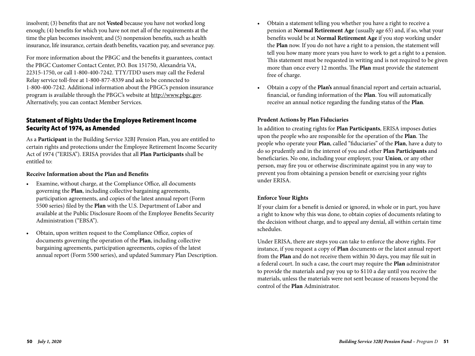insolvent; (3) benefits that are not **Vested** because you have not worked long enough; (4) benefits for which you have not met all of the requirements at the time the plan becomes insolvent; and (5) nonpension benefits, such as health insurance, life insurance, certain death benefits, vacation pay, and severance pay.

For more information about the PBGC and the benefits it guarantees, contact the PBGC Customer Contact Center, P.O. Box 151750, Alexandria VA, 22315-1750, or call 1-800-400-7242. TTY/TDD users may call the Federal Relay service toll-free at 1-800-877-8339 and ask to be connected to 1-800-400-7242. Additional information about the PBGC's pension insurance program is available through the PBGC's website at http://www.pbgc.gov. Alternatively, you can contact Member Services.

### Statement of Rights Under the Employee Retirement Income Security Act of 1974, as Amended

As a **Participant** in the Building Service 32BJ Pension Plan, you are entitled to certain rights and protections under the Employee Retirement Income Security Act of 1974 ("ERISA"). ERISA provides that all **Plan Participants** shall be entitled to:

#### **Receive Information about the Plan and Benefits**

- Examine, without charge, at the Compliance Office, all documents governing the **Plan**, including collective bargaining agreements, participation agreements, and copies of the latest annual report (Form 5500 series) filed by the **Plan** with the U.S. Department of Labor and available at the Public Disclosure Room of the Employee Benefits Security Administration ("EBSA").
- Obtain, upon written request to the Compliance Office, copies of documents governing the operation of the **Plan**, including collective bargaining agreements, participation agreements, copies of the latest annual report (Form 5500 series), and updated Summary Plan Description.
- Obtain a statement telling you whether you have a right to receive a pension at **Normal Retirement Age** (usually age 65) and, if so, what your benefits would be at **Normal Retirement Age** if you stop working under the **Plan** now. If you do not have a right to a pension, the statement will tell you how many more years you have to work to get a right to a pension. This statement must be requested in writing and is not required to be given more than once every 12 months. The **Plan** must provide the statement free of charge.
- Obtain a copy of the **Plan's** annual financial report and certain actuarial, financial, or funding information of the **Plan**. You will automatically receive an annual notice regarding the funding status of the **Plan**.

#### **Prudent Actions by Plan Fiduciaries**

In addition to creating rights for **Plan Participants**, ERISA imposes duties upon the people who are responsible for the operation of the **Plan**. The people who operate your **Plan**, called "fiduciaries" of the **Plan**, have a duty to do so prudently and in the interest of you and other **Plan Participants** and beneficiaries. No one, including your employer, your **Union**, or any other person, may fire you or otherwise discriminate against you in any way to prevent you from obtaining a pension benefit or exercising your rights under ERISA.

#### **Enforce Your Rights**

If your claim for a benefit is denied or ignored, in whole or in part, you have a right to know why this was done, to obtain copies of documents relating to the decision without charge, and to appeal any denial, all within certain time schedules.

Under ERISA, there are steps you can take to enforce the above rights. For instance, if you request a copy of **Plan** documents or the latest annual report from the **Plan** and do not receive them within 30 days, you may file suit in a federal court. In such a case, the court may require the **Plan** administrator to provide the materials and pay you up to \$110 a day until you receive the materials, unless the materials were not sent because of reasons beyond the control of the **Plan** Administrator.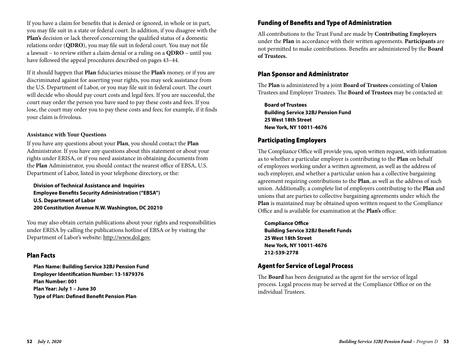If you have a claim for benefits that is denied or ignored, in whole or in part, you may file suit in a state or federal court. In addition, if you disagree with the **Plan's** decision or lack thereof concerning the qualified status of a domestic relations order (**QDRO**), you may file suit in federal court. You may not file a lawsuit – to review either a claim denial or a ruling on a **QDRO** – until you have followed the appeal procedures described on pages 43–44.

If it should happen that **Plan** fiduciaries misuse the **Plan's** money, or if you are discriminated against for asserting your rights, you may seek assistance from the U.S. Department of Labor, or you may file suit in federal court. The court will decide who should pay court costs and legal fees. If you are successful, the court may order the person you have sued to pay these costs and fees. If you lose, the court may order you to pay these costs and fees; for example, if it finds your claim is frivolous.

#### **Assistance with Your Questions**

If you have any questions about your **Plan**, you should contact the **Plan** Administrator. If you have any questions about this statement or about your rights under ERISA, or if you need assistance in obtaining documents from the **Plan** Administrator, you should contact the nearest office of EBSA, U.S. Department of Labor, listed in your telephone directory, or the:

**Division of Technical Assistance and Inquiries Employee Benefits Security Administration ("EBSA") U.S. Department of Labor 200 Constitution Avenue N.W. Washington, DC 20210**

You may also obtain certain publications about your rights and responsibilities under ERISA by calling the publications hotline of EBSA or by visiting the Department of Labor's website: http://www.dol.gov.

#### Plan Facts

**Plan Name: Building Service 32BJ Pension Fund Employer Identification Number: 13-1879376 Plan Number: 001 Plan Year: July 1 – June 30 Type of Plan: Defined Benefit Pension Plan**

### Funding of Benefits and Type of Administration

All contributions to the Trust Fund are made by **Contributing Employers** under the **Plan** in accordance with their written agreements. **Participants** are not permitted to make contributions. Benefits are administered by the **Board of Trustees.**

#### Plan Sponsor and Administrator

The **Plan** is administered by a joint **Board of Trustees** consisting of **Union** Trustees and Employer Trustees. The **Board of Trustees** may be contacted at:

**Board of Trustees Building Service 32BJ Pension Fund 25 West 18th Street New York, NY 10011-4676**

### Participating Employers

The Compliance Office will provide you, upon written request, with information as to whether a particular employer is contributing to the **Plan** on behalf of employees working under a written agreement, as well as the address of such employer, and whether a particular union has a collective bargaining agreement requiring contributions to the **Plan**, as well as the address of such union. Additionally, a complete list of employers contributing to the **Plan** and unions that are parties to collective bargaining agreements under which the **Plan** is maintained may be obtained upon written request to the Compliance Office and is available for examination at the **Plan's** office:

**Compliance Office Building Service 32BJ Benefit Funds 25 West 18th Street New York, NY 10011-4676 212-539-2778**

### Agent for Service of Legal Process

The **Board** has been designated as the agent for the service of legal process. Legal process may be served at the Compliance Office or on the individual Trustees.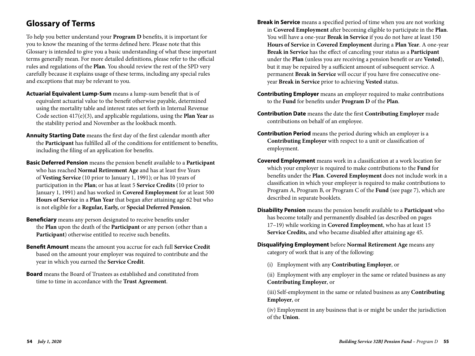# **Glossary of Terms**

To help you better understand your **Program D** benefits, it is important for you to know the meaning of the terms defined here. Please note that this Glossary is intended to give you a basic understanding of what these important terms generally mean. For more detailed definitions, please refer to the official rules and regulations of the **Plan**. You should review the rest of the SPD very carefully because it explains usage of these terms, including any special rules and exceptions that may be relevant to you.

- **Actuarial Equivalent Lump-Sum** means a lump-sum benefit that is of equivalent actuarial value to the benefit otherwise payable, determined using the mortality table and interest rates set forth in Internal Revenue Code section 417(e)(3), and applicable regulations, using the **Plan Year** as the stability period and November as the lookback month.
- **Annuity Starting Date** means the first day of the first calendar month after the **Participant** has fulfilled all of the conditions for entitlement to benefits, including the filing of an application for benefits.
- **Basic Deferred Pension** means the pension benefit available to a **Participant** who has reached **Normal Retirement Age** and has at least five Years of **Vesting Service** (10 prior to January 1, 1991); or has 10 years of participation in the **Plan**; or has at least 5 **Service Credits** (10 prior to January 1, 1991) and has worked in **Covered Employment** for at least 500 **Hours of Service** in a **Plan Year** that began after attaining age 62 but who is not eligible for a **Regular, Early,** or **Special Deferred Pension**.
- **Beneficiary** means any person designated to receive benefits under the **Plan** upon the death of the **Participant** or any person (other than a **Participant**) otherwise entitled to receive such benefits.
- **Benefit Amount** means the amount you accrue for each full **Service Credit** based on the amount your employer was required to contribute and the year in which you earned the **Service Credit**.
- **Board** means the Board of Trustees as established and constituted from time to time in accordance with the **Trust Agreement**.
- **Break in Service** means a specified period of time when you are not working in **Covered Employment** after becoming eligible to participate in the **Plan**. You will have a one-year **Break in Service** if you do not have at least 150 **Hours of Service** in **Covered Employment** during a **Plan Year**. A one-year **Break in Service** has the effect of canceling your status as a **Participant**  under the **Plan** (unless you are receiving a pension benefit or are **Vested**), but it may be repaired by a sufficient amount of subsequent service. A permanent **Break in Service** will occur if you have five consecutive oneyear **Break in Service** prior to achieving **Vested** status.
- **Contributing Employer** means an employer required to make contributions to the **Fund** for benefits under **Program D** of the **Plan**.
- **Contribution Date** means the date the first **Contributing Employer** made contributions on behalf of an employee.
- **Contribution Period** means the period during which an employer is a **Contributing Employer** with respect to a unit or classification of employment.
- **Covered Employment** means work in a classification at a work location for which your employer is required to make contributions to the **Fund** for benefits under the **Plan**. **Covered Employment** does not include work in a classification in which your employer is required to make contributions to Program A, Program B, or Program C of the **Fund** (see page 7), which are described in separate booklets.
- **Disability Pension** means the pension benefit available to a **Participant** who has become totally and permanently disabled (as described on pages 17–19) while working in **Covered Employment**, who has at least 15 **Service Credits,** and who became disabled after attaining age 45.
- **Disqualifying Employment** before **Normal Retirement Age** means any category of work that is any of the following:
	- (i) Employment with any **Contributing Employer**, or

 (ii) Employment with any employer in the same or related business as any **Contributing Employer**, or

 (iii) Self-employment in the same or related business as any **Contributing Employer**, or

 (iv) Employment in any business that is or might be under the jurisdiction of the **Union**.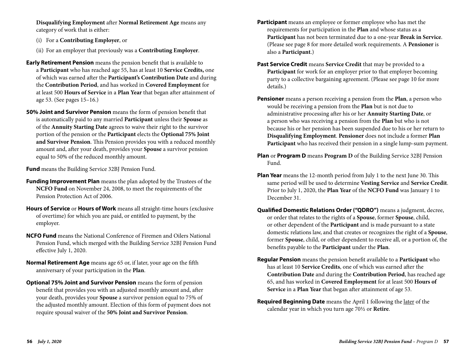**Disqualifying Employment** after **Normal Retirement Age** means any category of work that is either:

- (i) For a **Contributing Employer**, or
- (ii) For an employer that previously was a **Contributing Employer**.
- **Early Retirement Pension** means the pension benefit that is available to a **Participant** who has reached age 55, has at least 10 **Service Credits,** one of which was earned after the **Participant's Contribution Date** and during the **Contribution Period**, and has worked in **Covered Employment** for at least 500 **Hours of Service** in a **Plan Year** that began after attainment of age 53. (See pages 15–16.)
- **50% Joint and Survivor Pension** means the form of pension benefit that is automatically paid to any married **Participant** unless their **Spouse** as of the **Annuity Starting Date** agrees to waive their right to the survivor portion of the pension or the **Participant** elects the **Optional 75% Joint and Survivor Pension**. This Pension provides you with a reduced monthly amount and, after your death, provides your **Spouse** a survivor pension equal to 50% of the reduced monthly amount.

**Fund** means the Building Service 32BJ Pension Fund.

- **Funding Improvement Plan** means the plan adopted by the Trustees of the **NCFO Fund** on November 24, 2008, to meet the requirements of the Pension Protection Act of 2006.
- **Hours of Service** or **Hours of Work** means all straight-time hours (exclusive of overtime) for which you are paid, or entitled to payment, by the employer.
- **NCFO Fund** means the National Conference of Firemen and Oilers National Pension Fund, which merged with the Building Service 32BJ Pension Fund effective July 1, 2020.
- **Normal Retirement Age** means age 65 or, if later, your age on the fifth anniversary of your participation in the **Plan**.
- **Optional 75% Joint and Survivor Pension** means the form of pension benefit that provides you with an adjusted monthly amount and, after your death, provides your **Spouse** a survivor pension equal to 75% of the adjusted monthly amount. Election of this form of payment does not require spousal waiver of the **50% Joint and Survivor Pension**.
- **Participant** means an employee or former employee who has met the requirements for participation in the **Plan** and whose status as a **Participant** has not been terminated due to a one-year **Break in Service**. (Please see page 8 for more detailed work requirements. A **Pensioner** is also a **Participant**.)
- **Past Service Credit** means **Service Credit** that may be provided to a **Participant** for work for an employer prior to that employer becoming party to a collective bargaining agreement. (Please see page 10 for more details.)
- **Pensioner** means a person receiving a pension from the **Plan**, a person who would be receiving a pension from the **Plan** but is not due to administrative processing after his or her **Annuity Starting Date**, or a person who was receiving a pension from the **Plan** but who is not because his or her pension has been suspended due to his or her return to **Disqualifying Employment**. **Pensioner** does not include a former **Plan Participant** who has received their pension in a single lump-sum payment.
- **Plan** or **Program D** means **Program D** of the Building Service 32BJ Pension Fund.
- **Plan Year** means the 12-month period from July 1 to the next June 30. This same period will be used to determine **Vesting Service** and **Service Credit**. Prior to July 1, 2020, the **Plan Year** of the **NCFO Fund** was January 1 to December 31.
- **Qualified Domestic Relations Order ("QDRO")** means a judgment, decree, or order that relates to the rights of a **Spouse**, former **Spouse**, child, or other dependent of the **Participant** and is made pursuant to a state domestic relations law, and that creates or recognizes the right of a **Spouse**, former **Spouse**, child, or other dependent to receive all, or a portion of, the benefits payable to the **Participant** under the **Plan**.
- **Regular Pension** means the pension benefit available to a **Participant** who has at least 10 **Service Credits**, one of which was earned after the **Contribution Date** and during the **Contribution Period**, has reached age 65, and has worked in **Covered Employment** for at least 500 **Hours of Service** in a **Plan Year** that began after attainment of age 53.
- **Required Beginning Date** means the April 1 following the later of the calendar year in which you turn age 70½ or **Retire**.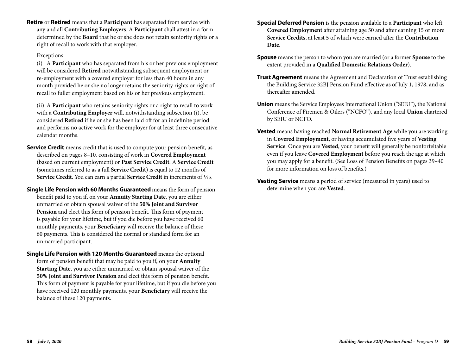**Retire** or **Retired** means that a **Participant** has separated from service with any and all **Contributing Employers**. A **Participant** shall attest in a form determined by the **Board** that he or she does not retain seniority rights or a right of recall to work with that employer.

#### Exceptions

 (i) A **Participant** who has separated from his or her previous employment will be considered **Retired** notwithstanding subsequent employment or re-employment with a covered employer for less than 40 hours in any month provided he or she no longer retains the seniority rights or right of recall to fuller employment based on his or her previous employment.

 (ii) A **Participant** who retains seniority rights or a right to recall to work with a **Contributing Employer** will, notwithstanding subsection (i), be considered **Retired** if he or she has been laid off for an indefinite period and performs no active work for the employer for at least three consecutive calendar months.

- **Service Credit** means credit that is used to compute your pension benefit, as described on pages 8–10, consisting of work in **Covered Employment** (based on current employment) or **Past Service Credit**. A **Service Credit** (sometimes referred to as a full **Service Credit**) is equal to 12 months of **Service Credit**. You can earn a partial **Service Credit** in increments of 1/12.
- **Single Life Pension with 60 Months Guaranteed** means the form of pension benefit paid to you if, on your **Annuity Starting Date**, you are either unmarried or obtain spousal waiver of the **50% Joint and Survivor Pension** and elect this form of pension benefit. This form of payment is payable for your lifetime, but if you die before you have received 60 monthly payments, your **Beneficiary** will receive the balance of these 60 payments. This is considered the normal or standard form for an unmarried participant.
- **Single Life Pension with 120 Months Guaranteed** means the optional form of pension benefit that may be paid to you if, on your **Annuity Starting Date**, you are either unmarried or obtain spousal waiver of the **50% Joint and Survivor Pension** and elect this form of pension benefit. This form of payment is payable for your lifetime, but if you die before you have received 120 monthly payments, your **Beneficiary** will receive the balance of these 120 payments.
- **Special Deferred Pension** is the pension available to a **Participant** who left **Covered Employment** after attaining age 50 and after earning 15 or more **Service Credits**, at least 5 of which were earned after the **Contribution Date**.
- **Spouse** means the person to whom you are married (or a former **Spouse** to the extent provided in a **Qualified Domestic Relations Order**).
- **Trust Agreement** means the Agreement and Declaration of Trust establishing the Building Service 32BJ Pension Fund effective as of July 1, 1978, and as thereafter amended.
- **Union** means the Service Employees International Union ("SEIU"), the National Conference of Firemen & Oilers ("NCFO"), and any local **Union** chartered by SEIU or NCFO.
- **Vested** means having reached **Normal Retirement Age** while you are working in **Covered Employment**, or having accumulated five years of **Vesting Service**. Once you are **Vested**, your benefit will generally be nonforfeitable even if you leave **Covered Employment** before you reach the age at which you may apply for a benefit. (See Loss of Pension Benefits on pages 39–40 for more information on loss of benefits.)
- **Vesting Service** means a period of service (measured in years) used to determine when you are **Vested**.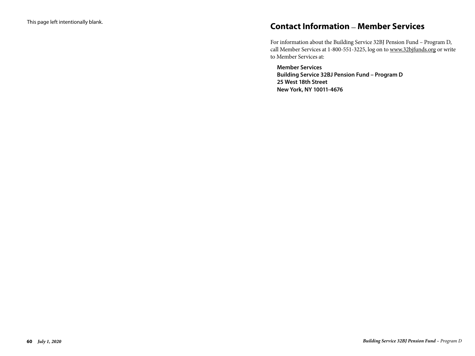# **Contact Information \_ Member Services**

For information about the Building Service 32BJ Pension Fund – Program D, call Member Services at 1-800-551-3225, log on to www.32bjfunds.org or write to Member Services at:

**Member Services Building Service 32BJ Pension Fund – Program D 25 West 18th Street New York, NY 10011-4676**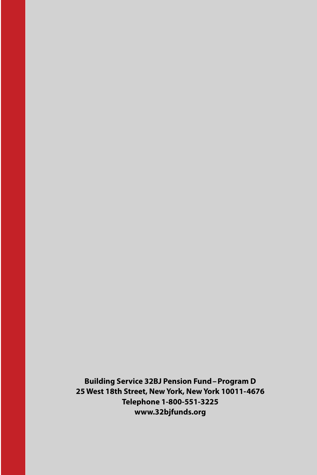**Building Service 32BJ Pension Fund–Program D 25 West 18th Street, New York, New York 10011-4676 Telephone 1-800-551-3225 www.32bjfunds.org**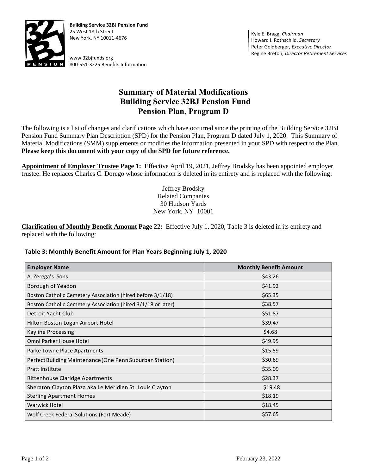

**Building Service 32BJ Pension Fund** 25 West 18th Street New York, NY 10011-4676

www.32bjfunds.org 800-551-3225 Benefits Information

Kyle E. Bragg, *Chairman* Howard I. Rothschild, *Secretary* Peter Goldberger, *Executive Director* Régine Breton, *Director Retirement Services*

# **Summary of Material Modifications Building Service 32BJ Pension Fund Pension Plan, Program D**

The following is a list of changes and clarifications which have occurred since the printing of the Building Service 32BJ Pension Fund Summary Plan Description (SPD) for the Pension Plan, Program D dated July 1, 2020. This Summary of Material Modifications (SMM) supplements or modifies the information presented in your SPD with respect to the Plan. **Please keep this document with your copy of the SPD for future reference.**

**Appointment of Employer Trustee Page 1:** Effective April 19, 2021, Jeffrey Brodsky has been appointed employer trustee. He replaces Charles C. Dorego whose information is deleted in its entirety and is replaced with the following:

> Jeffrey Brodsky Related Companies 30 Hudson Yards New York, NY 10001

**Clarification of Monthly Benefit Amount Page 22:** Effective July 1, 2020, Table 3 is deleted in its entirety and replaced with the following:

#### **Table 3: Monthly Benefit Amount for Plan Years Beginning July 1, 2020**

| <b>Employer Name</b>                                         | <b>Monthly Benefit Amount</b> |
|--------------------------------------------------------------|-------------------------------|
| A. Zerega's Sons                                             | \$43.26                       |
| Borough of Yeadon                                            | \$41.92                       |
| Boston Catholic Cemetery Association (hired before 3/1/18)   | \$65.35                       |
| Boston Catholic Cemetery Association (hired 3/1/18 or later) | \$38.57                       |
| Detroit Yacht Club                                           | \$51.87                       |
| Hilton Boston Logan Airport Hotel                            | \$39.47                       |
| <b>Kayline Processing</b>                                    | \$4.68                        |
| Omni Parker House Hotel                                      | \$49.95                       |
| Parke Towne Place Apartments                                 | \$15.59                       |
| Perfect Building Maintenance (One Penn Suburban Station)     | \$30.69                       |
| <b>Pratt Institute</b>                                       | \$35.09                       |
| Rittenhouse Claridge Apartments                              | \$28.37                       |
| Sheraton Clayton Plaza aka Le Meridien St. Louis Clayton     | \$19.48                       |
| <b>Sterling Apartment Homes</b>                              | \$18.19                       |
| Warwick Hotel                                                | \$18.45                       |
| Wolf Creek Federal Solutions (Fort Meade)                    | \$57.65                       |